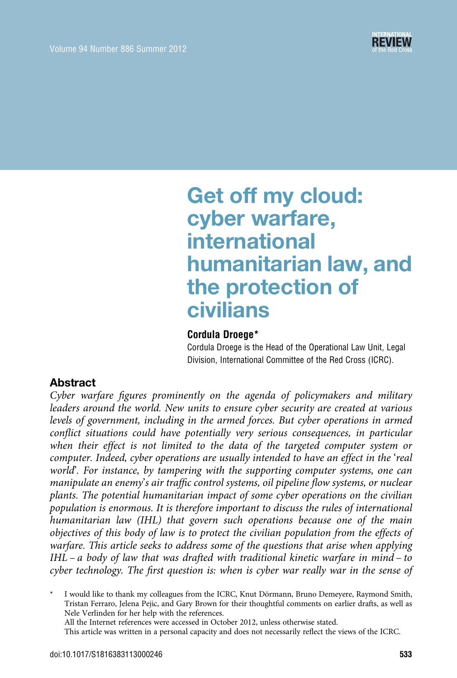

# Get off my cloud: cyber warfare, international humanitarian law, and the protection of civilians

#### Cordula Droege\*

Cordula Droege is the Head of the Operational Law Unit, Legal Division, International Committee of the Red Cross (ICRC).

## Abstract

Cyber warfare figures prominently on the agenda of policymakers and military leaders around the world. New units to ensure cyber security are created at various levels of government, including in the armed forces. But cyber operations in armed conflict situations could have potentially very serious consequences, in particular when their effect is not limited to the data of the targeted computer system or computer. Indeed, cyber operations are usually intended to have an effect in the 'real world'. For instance, by tampering with the supporting computer systems, one can manipulate an enemy's air traffic control systems, oil pipeline flow systems, or nuclear plants. The potential humanitarian impact of some cyber operations on the civilian population is enormous. It is therefore important to discuss the rules of international humanitarian law (IHL) that govern such operations because one of the main objectives of this body of law is to protect the civilian population from the effects of warfare. This article seeks to address some of the questions that arise when applying IHL – a body of law that was drafted with traditional kinetic warfare in mind – to cyber technology. The first question is: when is cyber war really war in the sense of

\* I would like to thank my colleagues from the ICRC, Knut Dörmann, Bruno Demeyere, Raymond Smith, Tristan Ferraro, Jelena Pejic, and Gary Brown for their thoughtful comments on earlier drafts, as well as Nele Verlinden for her help with the references.

All the Internet references were accessed in October 2012, unless otherwise stated.

This article was written in a personal capacity and does not necessarily reflect the views of the ICRC.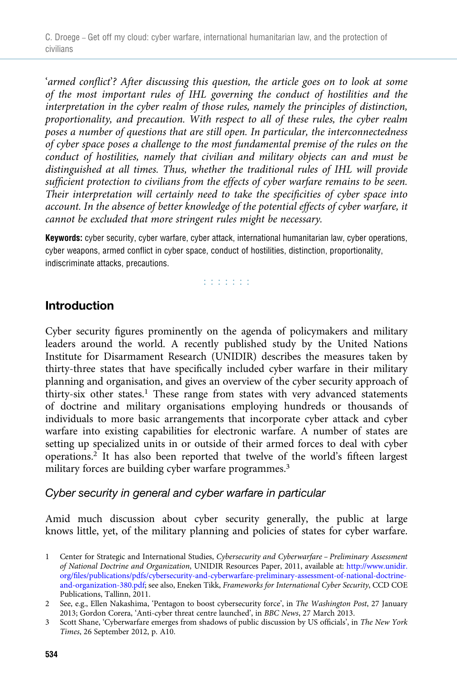'armed conflict'? After discussing this question, the article goes on to look at some of the most important rules of IHL governing the conduct of hostilities and the interpretation in the cyber realm of those rules, namely the principles of distinction, proportionality, and precaution. With respect to all of these rules, the cyber realm poses a number of questions that are still open. In particular, the interconnectedness of cyber space poses a challenge to the most fundamental premise of the rules on the conduct of hostilities, namely that civilian and military objects can and must be distinguished at all times. Thus, whether the traditional rules of IHL will provide sufficient protection to civilians from the effects of cyber warfare remains to be seen. Their interpretation will certainly need to take the specificities of cyber space into account. In the absence of better knowledge of the potential effects of cyber warfare, it cannot be excluded that more stringent rules might be necessary.

Keywords: cyber security, cyber warfare, cyber attack, international humanitarian law, cyber operations, cyber weapons, armed conflict in cyber space, conduct of hostilities, distinction, proportionality, indiscriminate attacks, precautions.

**Barbara** 

## Introduction

Cyber security figures prominently on the agenda of policymakers and military leaders around the world. A recently published study by the United Nations Institute for Disarmament Research (UNIDIR) describes the measures taken by thirty-three states that have specifically included cyber warfare in their military planning and organisation, and gives an overview of the cyber security approach of thirty-six other states.<sup>1</sup> These range from states with very advanced statements of doctrine and military organisations employing hundreds or thousands of individuals to more basic arrangements that incorporate cyber attack and cyber warfare into existing capabilities for electronic warfare. A number of states are setting up specialized units in or outside of their armed forces to deal with cyber operations.2 It has also been reported that twelve of the world's fifteen largest military forces are building cyber warfare programmes.3

## Cyber security in general and cyber warfare in particular

Amid much discussion about cyber security generally, the public at large knows little, yet, of the military planning and policies of states for cyber warfare.

<sup>1</sup> Center for Strategic and International Studies, Cybersecurity and Cyberwarfare - Preliminary Assessment of National Doctrine and Organization, UNIDIR Resources Paper, 2011, available at: [http://www.unidir.](http://www.unidir.org/files/publications/pdfs/cybersecurity-and-cyberwarfare-preliminary-assessment-of-national-doctrine-and-organization-380.pdf;) org/fi[les/publications/pdfs/cybersecurity-and-cyberwarfare-preliminary-assessment-of-national-doctrine](http://www.unidir.org/files/publications/pdfs/cybersecurity-and-cyberwarfare-preliminary-assessment-of-national-doctrine-and-organization-380.pdf;)[and-organization-380.pdf;](http://www.unidir.org/files/publications/pdfs/cybersecurity-and-cyberwarfare-preliminary-assessment-of-national-doctrine-and-organization-380.pdf;) see also, Eneken Tikk, Frameworks for International Cyber Security, CCD COE Publications, Tallinn, 2011.

<sup>2</sup> See, e.g., Ellen Nakashima, 'Pentagon to boost cybersecurity force', in The Washington Post, 27 January 2013; Gordon Corera, 'Anti-cyber threat centre launched', in BBC News, 27 March 2013.

<sup>3</sup> Scott Shane, 'Cyberwarfare emerges from shadows of public discussion by US officials', in The New York Times, 26 September 2012, p. A10.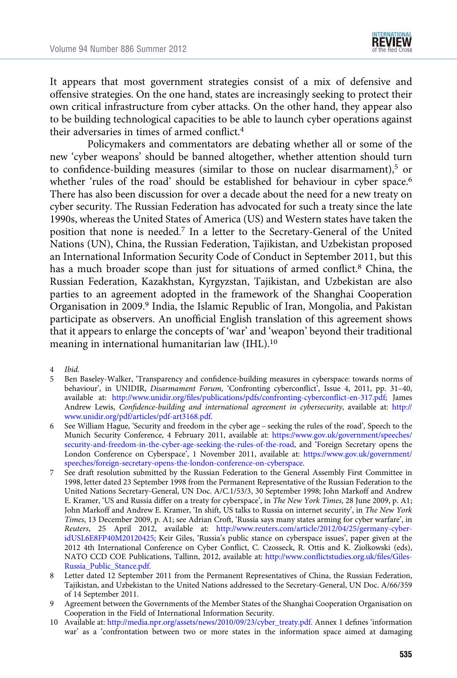It appears that most government strategies consist of a mix of defensive and offensive strategies. On the one hand, states are increasingly seeking to protect their own critical infrastructure from cyber attacks. On the other hand, they appear also to be building technological capacities to be able to launch cyber operations against their adversaries in times of armed conflict.<sup>4</sup>

Policymakers and commentators are debating whether all or some of the new 'cyber weapons' should be banned altogether, whether attention should turn to confidence-building measures (similar to those on nuclear disarmament),<sup>5</sup> or whether 'rules of the road' should be established for behaviour in cyber space.<sup>6</sup> There has also been discussion for over a decade about the need for a new treaty on cyber security. The Russian Federation has advocated for such a treaty since the late 1990s, whereas the United States of America (US) and Western states have taken the position that none is needed.7 In a letter to the Secretary-General of the United Nations (UN), China, the Russian Federation, Tajikistan, and Uzbekistan proposed an International Information Security Code of Conduct in September 2011, but this has a much broader scope than just for situations of armed conflict.<sup>8</sup> China, the Russian Federation, Kazakhstan, Kyrgyzstan, Tajikistan, and Uzbekistan are also parties to an agreement adopted in the framework of the Shanghai Cooperation Organisation in 2009.9 India, the Islamic Republic of Iran, Mongolia, and Pakistan participate as observers. An unofficial English translation of this agreement shows that it appears to enlarge the concepts of 'war' and 'weapon' beyond their traditional meaning in international humanitarian law (IHL).10

4 Ibid.

- 5 Ben Baseley-Walker, 'Transparency and confidence-building measures in cyberspace: towards norms of behaviour', in UNIDIR, Disarmament Forum, 'Confronting cyberconflict', Issue 4, 2011, pp. 31–40, available at: [http:/](http://www.unidir.org/files/publications/pdfs/confronting-cyberconflict-en-317.pdf;)/www.unidir.org/fi[les/publications/pdfs/confronting-cybercon](http://www.unidir.org/files/publications/pdfs/confronting-cyberconflict-en-317.pdf;)flict-en-317.pdf; James Andrew Lewis, Confidence-building and international agreement in cybersecurity, available at: [http://](http://www.unidir.org/pdf/articles/pdf-art3168.pdf) [www.unidir.org/pdf/articles/pdf-art3168.pdf](http://www.unidir.org/pdf/articles/pdf-art3168.pdf).
- 6 See William Hague, 'Security and freedom in the cyber age seeking the rules of the road', Speech to the Munich Security Conference, 4 February 2011, available at: [https://www.gov.uk/government/speeches/](https://www.gov.uk/government/speeches/security-and-freedom-in-the-cyber-age-seeking-the-rules-of-the-road) [security-and-freedom-in-the-cyber-age-seeking-the-rules-of-the-road](https://www.gov.uk/government/speeches/security-and-freedom-in-the-cyber-age-seeking-the-rules-of-the-road), and 'Foreign Secretary opens the London Conference on Cyberspace', 1 November 2011, available at: [https://www.gov.uk/government/](https://www.gov.uk/government/speeches/foreign-secretary-opens-the-london-conference-on-cyberspace) [speeches/foreign-secretary-opens-the-london-conference-on-cyberspace.](https://www.gov.uk/government/speeches/foreign-secretary-opens-the-london-conference-on-cyberspace)
- 7 See draft resolution submitted by the Russian Federation to the General Assembly First Committee in 1998, letter dated 23 September 1998 from the Permanent Representative of the Russian Federation to the United Nations Secretary-General, UN Doc. A/C.1/53/3, 30 September 1998; John Markoff and Andrew E. Kramer, 'US and Russia differ on a treaty for cyberspace', in The New York Times, 28 June 2009, p. A1; John Markoff and Andrew E. Kramer, 'In shift, US talks to Russia on internet security', in The New York Times, 13 December 2009, p. A1; see Adrian Croft, 'Russia says many states arming for cyber warfare', in Reuters, 25 April 2012, available at: [http://www.reuters.com/article/2012/04/25/germany-cyber](http://www.reuters.com/article/2012/04/25/germany-cyber-idUSL6E8FP40M20120425;)[idUSL6E8FP40M20120425;](http://www.reuters.com/article/2012/04/25/germany-cyber-idUSL6E8FP40M20120425;) Keir Giles, 'Russia's public stance on cyberspace issues', paper given at the 2012 4th International Conference on Cyber Conflict, C. Czosseck, R. Ottis and K. Ziolkowski (eds), NATO CCD COE Publications, Tallinn, 2012, available at: [http:/](http://www.conflictstudies.org.uk/files/Giles-Russia_Public_Stance.pdf)/www.confl[ictstudies.org.uk/](http://www.conflictstudies.org.uk/files/Giles-Russia_Public_Stance.pdf)files/Giles-[Russia\\_Public\\_Stance.pdf](http://www.conflictstudies.org.uk/files/Giles-Russia_Public_Stance.pdf).
- 8 Letter dated 12 September 2011 from the Permanent Representatives of China, the Russian Federation, Tajikistan, and Uzbekistan to the United Nations addressed to the Secretary-General, UN Doc. A/66/359 of 14 September 2011.
- Agreement between the Governments of the Member States of the Shanghai Cooperation Organisation on Cooperation in the Field of International Information Security.
- 10 Available at: [http://media.npr.org/assets/news/2010/09/23/cyber\\_treaty.pdf.](http://media.npr.org/assets/news/2010/09/23/cyber_treaty.pdf) Annex 1 defines 'information war' as a 'confrontation between two or more states in the information space aimed at damaging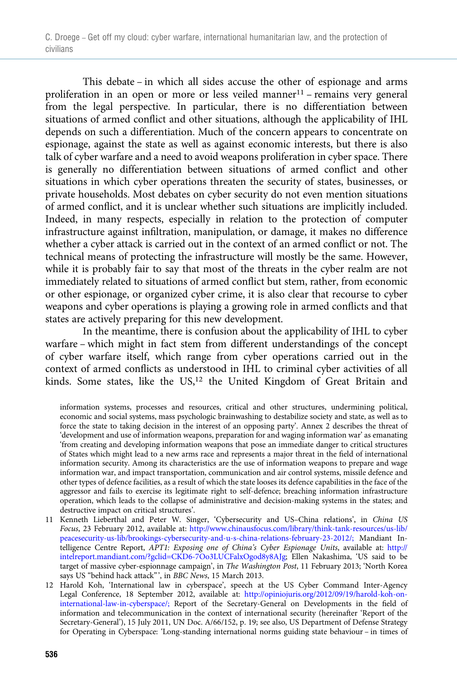C. Droege – Get off my cloud: cyber warfare, international humanitarian law, and the protection of civilians

This debate – in which all sides accuse the other of espionage and arms proliferation in an open or more or less veiled manner<sup>11</sup> – remains very general from the legal perspective. In particular, there is no differentiation between situations of armed conflict and other situations, although the applicability of IHL depends on such a differentiation. Much of the concern appears to concentrate on espionage, against the state as well as against economic interests, but there is also talk of cyber warfare and a need to avoid weapons proliferation in cyber space. There is generally no differentiation between situations of armed conflict and other situations in which cyber operations threaten the security of states, businesses, or private households. Most debates on cyber security do not even mention situations of armed conflict, and it is unclear whether such situations are implicitly included. Indeed, in many respects, especially in relation to the protection of computer infrastructure against infiltration, manipulation, or damage, it makes no difference whether a cyber attack is carried out in the context of an armed conflict or not. The technical means of protecting the infrastructure will mostly be the same. However, while it is probably fair to say that most of the threats in the cyber realm are not immediately related to situations of armed conflict but stem, rather, from economic or other espionage, or organized cyber crime, it is also clear that recourse to cyber weapons and cyber operations is playing a growing role in armed conflicts and that states are actively preparing for this new development.

In the meantime, there is confusion about the applicability of IHL to cyber warfare – which might in fact stem from different understandings of the concept of cyber warfare itself, which range from cyber operations carried out in the context of armed conflicts as understood in IHL to criminal cyber activities of all kinds. Some states, like the US,<sup>12</sup> the United Kingdom of Great Britain and

information systems, processes and resources, critical and other structures, undermining political, economic and social systems, mass psychologic brainwashing to destabilize society and state, as well as to force the state to taking decision in the interest of an opposing party'. Annex 2 describes the threat of 'development and use of information weapons, preparation for and waging information war' as emanating 'from creating and developing information weapons that pose an immediate danger to critical structures of States which might lead to a new arms race and represents a major threat in the field of international information security. Among its characteristics are the use of information weapons to prepare and wage information war, and impact transportation, communication and air control systems, missile defence and other types of defence facilities, as a result of which the state looses its defence capabilities in the face of the aggressor and fails to exercise its legitimate right to self-defence; breaching information infrastructure operation, which leads to the collapse of administrative and decision-making systems in the states; and destructive impact on critical structures'.

- 11 Kenneth Lieberthal and Peter W. Singer, 'Cybersecurity and US–China relations', in China US Focus, 23 February 2012, available at: [http://www.chinausfocus.com/library/think-tank-resources/us-lib/](http://www.chinausfocus.com/library/think-tank-resources/us-lib/peacesecurity-us-lib/brookings-cybersecurity-and-u-s-china-relations-february-23-2012/;) [peacesecurity-us-lib/brookings-cybersecurity-and-u-s-china-relations-february-23-2012/;](http://www.chinausfocus.com/library/think-tank-resources/us-lib/peacesecurity-us-lib/brookings-cybersecurity-and-u-s-china-relations-february-23-2012/;) Mandiant Intelligence Centre Report, APT1: Exposing one of China's Cyber Espionage Units, available at: [http://](http://intelreport.mandiant.com/?gclid=CKD6-7Oo3LUCFalxOgod8y8AJg;) [intelreport.mandiant.com/?gclid=CKD6-7Oo3LUCFalxOgod8y8AJg](http://intelreport.mandiant.com/?gclid=CKD6-7Oo3LUCFalxOgod8y8AJg;); Ellen Nakashima, 'US said to be target of massive cyber-espionnage campaign', in The Washington Post, 11 February 2013; 'North Korea says US "behind hack attack"', in BBC News, 15 March 2013.
- 12 Harold Koh, 'International law in cyberspace', speech at the US Cyber Command Inter-Agency Legal Conference, 18 September 2012, available at: [http://opiniojuris.org/2012/09/19/harold-koh-on](http://opiniojuris.org/2012/09/19/harold-koh-on-international-law-in-cyberspace/;)[international-law-in-cyberspace/;](http://opiniojuris.org/2012/09/19/harold-koh-on-international-law-in-cyberspace/;) Report of the Secretary-General on Developments in the field of information and telecommunication in the context of international security (hereinafter 'Report of the Secretary-General'), 15 July 2011, UN Doc. A/66/152, p. 19; see also, US Department of Defense Strategy for Operating in Cyberspace: 'Long-standing international norms guiding state behaviour – in times of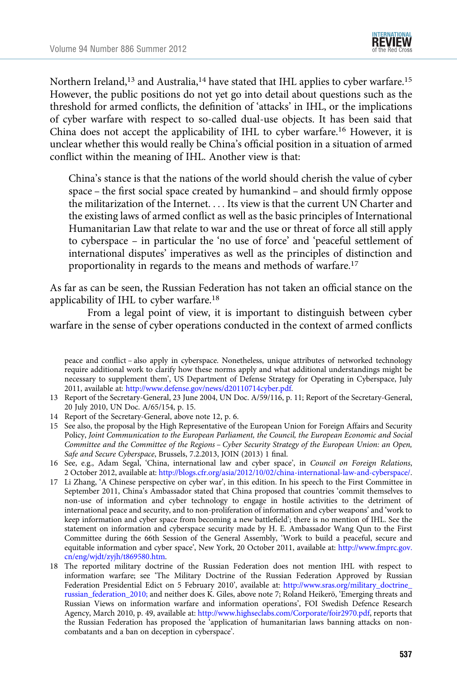Northern Ireland,<sup>13</sup> and Australia,<sup>14</sup> have stated that IHL applies to cyber warfare.<sup>15</sup> However, the public positions do not yet go into detail about questions such as the threshold for armed conflicts, the definition of 'attacks' in IHL, or the implications of cyber warfare with respect to so-called dual-use objects. It has been said that China does not accept the applicability of IHL to cyber warfare.16 However, it is unclear whether this would really be China's official position in a situation of armed conflict within the meaning of IHL. Another view is that:

China's stance is that the nations of the world should cherish the value of cyber space – the first social space created by humankind – and should firmly oppose the militarization of the Internet. ... Its view is that the current UN Charter and the existing laws of armed conflict as well as the basic principles of International Humanitarian Law that relate to war and the use or threat of force all still apply to cyberspace – in particular the 'no use of force' and 'peaceful settlement of international disputes' imperatives as well as the principles of distinction and proportionality in regards to the means and methods of warfare.17

As far as can be seen, the Russian Federation has not taken an official stance on the applicability of IHL to cyber warfare.<sup>18</sup>

From a legal point of view, it is important to distinguish between cyber warfare in the sense of cyber operations conducted in the context of armed conflicts

- 13 Report of the Secretary-General, 23 June 2004, UN Doc. A/59/116, p. 11; Report of the Secretary-General, 20 July 2010, UN Doc. A/65/154, p. 15.
- 14 Report of the Secretary-General, above note 12, p. 6.
- 15 See also, the proposal by the High Representative of the European Union for Foreign Affairs and Security Policy, Joint Communication to the European Parliament, the Council, the European Economic and Social Committee and the Committee of the Regions – Cyber Security Strategy of the European Union: an Open, Safe and Secure Cyberspace, Brussels, 7.2.2013, JOIN (2013) 1 final.

16 See, e.g., Adam Segal, 'China, international law and cyber space', in Council on Foreign Relations, 2 October 2012, available at: <http://blogs.cfr.org/asia/2012/10/02/china-international-law-and-cyberspace/>.

- 17 Li Zhang, 'A Chinese perspective on cyber war', in this edition. In his speech to the First Committee in September 2011, China's Ambassador stated that China proposed that countries 'commit themselves to non-use of information and cyber technology to engage in hostile activities to the detriment of international peace and security, and to non-proliferation of information and cyber weapons' and 'work to keep information and cyber space from becoming a new battlefield'; there is no mention of IHL. See the statement on information and cyberspace security made by H. E. Ambassador Wang Qun to the First Committee during the 66th Session of the General Assembly, 'Work to build a peaceful, secure and equitable information and cyber space', New York, 20 October 2011, available at: [http://www.fmprc.gov.](http://www.fmprc.gov.cn/eng/wjdt/zyjh/t869580.htm) [cn/eng/wjdt/zyjh/t869580.htm.](http://www.fmprc.gov.cn/eng/wjdt/zyjh/t869580.htm)
- 18 The reported military doctrine of the Russian Federation does not mention IHL with respect to information warfare; see 'The Military Doctrine of the Russian Federation Approved by Russian Federation Presidential Edict on 5 February 2010', available at: [http://www.sras.org/military\\_doctrine\\_](http://www.sras.org/military_doctrine_russian_federation_2010;) [russian\\_federation\\_2010;](http://www.sras.org/military_doctrine_russian_federation_2010;) and neither does K. Giles, above note 7; Roland Heikerö, 'Emerging threats and Russian Views on information warfare and information operations', FOI Swedish Defence Research Agency, March 2010, p. 49, available at: <http://www.highseclabs.com/Corporate/foir2970.pdf>, reports that the Russian Federation has proposed the 'application of humanitarian laws banning attacks on noncombatants and a ban on deception in cyberspace'.

peace and conflict – also apply in cyberspace. Nonetheless, unique attributes of networked technology require additional work to clarify how these norms apply and what additional understandings might be necessary to supplement them', US Department of Defense Strategy for Operating in Cyberspace, July 2011, available at: [http://www.defense.gov/news/d20110714cyber.pdf.](http://www.defense.gov/news/d20110714cyber.pdf)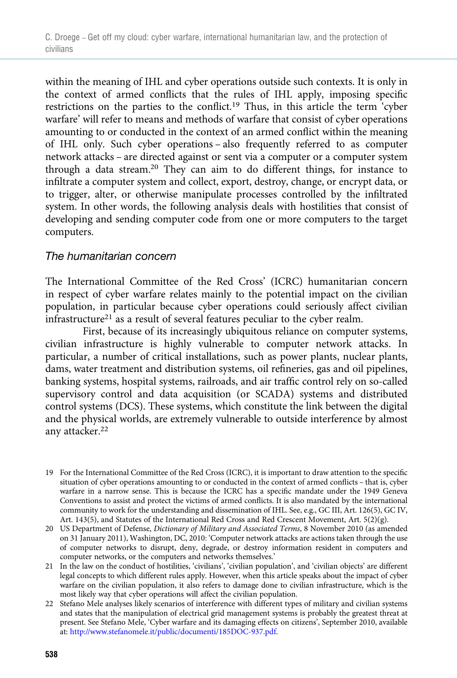within the meaning of IHL and cyber operations outside such contexts. It is only in the context of armed conflicts that the rules of IHL apply, imposing specific restrictions on the parties to the conflict.19 Thus, in this article the term 'cyber warfare' will refer to means and methods of warfare that consist of cyber operations amounting to or conducted in the context of an armed conflict within the meaning of IHL only. Such cyber operations – also frequently referred to as computer network attacks – are directed against or sent via a computer or a computer system through a data stream.20 They can aim to do different things, for instance to infiltrate a computer system and collect, export, destroy, change, or encrypt data, or to trigger, alter, or otherwise manipulate processes controlled by the infiltrated system. In other words, the following analysis deals with hostilities that consist of developing and sending computer code from one or more computers to the target computers.

#### The humanitarian concern

The International Committee of the Red Cross' (ICRC) humanitarian concern in respect of cyber warfare relates mainly to the potential impact on the civilian population, in particular because cyber operations could seriously affect civilian infrastructure<sup>21</sup> as a result of several features peculiar to the cyber realm.

First, because of its increasingly ubiquitous reliance on computer systems, civilian infrastructure is highly vulnerable to computer network attacks. In particular, a number of critical installations, such as power plants, nuclear plants, dams, water treatment and distribution systems, oil refineries, gas and oil pipelines, banking systems, hospital systems, railroads, and air traffic control rely on so-called supervisory control and data acquisition (or SCADA) systems and distributed control systems (DCS). These systems, which constitute the link between the digital and the physical worlds, are extremely vulnerable to outside interference by almost any attacker.<sup>22</sup>

<sup>19</sup> For the International Committee of the Red Cross (ICRC), it is important to draw attention to the specific situation of cyber operations amounting to or conducted in the context of armed conflicts – that is, cyber warfare in a narrow sense. This is because the ICRC has a specific mandate under the 1949 Geneva Conventions to assist and protect the victims of armed conflicts. It is also mandated by the international community to work for the understanding and dissemination of IHL. See, e.g., GC III, Art. 126(5), GC IV, Art. 143(5), and Statutes of the International Red Cross and Red Crescent Movement, Art. 5(2)(g).

<sup>20</sup> US Department of Defense, Dictionary of Military and Associated Terms, 8 November 2010 (as amended on 31 January 2011), Washington, DC, 2010: 'Computer network attacks are actions taken through the use of computer networks to disrupt, deny, degrade, or destroy information resident in computers and computer networks, or the computers and networks themselves.'

<sup>21</sup> In the law on the conduct of hostilities, 'civilians', 'civilian population', and 'civilian objects' are different legal concepts to which different rules apply. However, when this article speaks about the impact of cyber warfare on the civilian population, it also refers to damage done to civilian infrastructure, which is the most likely way that cyber operations will affect the civilian population.

<sup>22</sup> Stefano Mele analyses likely scenarios of interference with different types of military and civilian systems and states that the manipulation of electrical grid management systems is probably the greatest threat at present. See Stefano Mele, 'Cyber warfare and its damaging effects on citizens', September 2010, available at: <http://www.stefanomele.it/public/documenti/185DOC-937.pdf>.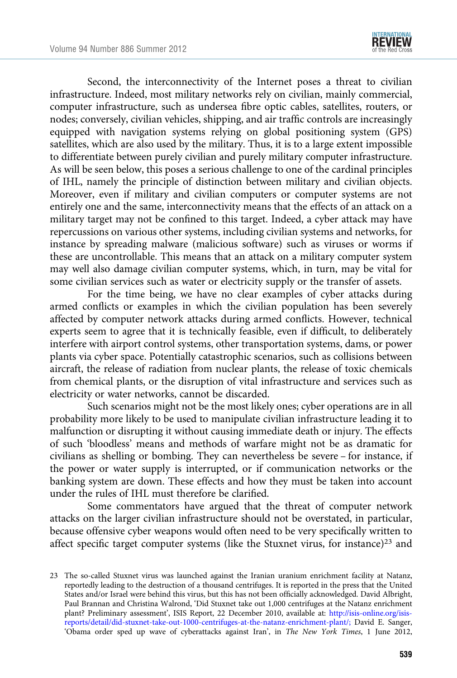

Second, the interconnectivity of the Internet poses a threat to civilian infrastructure. Indeed, most military networks rely on civilian, mainly commercial, computer infrastructure, such as undersea fibre optic cables, satellites, routers, or nodes; conversely, civilian vehicles, shipping, and air traffic controls are increasingly equipped with navigation systems relying on global positioning system (GPS) satellites, which are also used by the military. Thus, it is to a large extent impossible to differentiate between purely civilian and purely military computer infrastructure. As will be seen below, this poses a serious challenge to one of the cardinal principles of IHL, namely the principle of distinction between military and civilian objects. Moreover, even if military and civilian computers or computer systems are not entirely one and the same, interconnectivity means that the effects of an attack on a military target may not be confined to this target. Indeed, a cyber attack may have repercussions on various other systems, including civilian systems and networks, for instance by spreading malware (malicious software) such as viruses or worms if these are uncontrollable. This means that an attack on a military computer system may well also damage civilian computer systems, which, in turn, may be vital for some civilian services such as water or electricity supply or the transfer of assets.

For the time being, we have no clear examples of cyber attacks during armed conflicts or examples in which the civilian population has been severely affected by computer network attacks during armed conflicts. However, technical experts seem to agree that it is technically feasible, even if difficult, to deliberately interfere with airport control systems, other transportation systems, dams, or power plants via cyber space. Potentially catastrophic scenarios, such as collisions between aircraft, the release of radiation from nuclear plants, the release of toxic chemicals from chemical plants, or the disruption of vital infrastructure and services such as electricity or water networks, cannot be discarded.

Such scenarios might not be the most likely ones; cyber operations are in all probability more likely to be used to manipulate civilian infrastructure leading it to malfunction or disrupting it without causing immediate death or injury. The effects of such 'bloodless' means and methods of warfare might not be as dramatic for civilians as shelling or bombing. They can nevertheless be severe – for instance, if the power or water supply is interrupted, or if communication networks or the banking system are down. These effects and how they must be taken into account under the rules of IHL must therefore be clarified.

Some commentators have argued that the threat of computer network attacks on the larger civilian infrastructure should not be overstated, in particular, because offensive cyber weapons would often need to be very specifically written to affect specific target computer systems (like the Stuxnet virus, for instance)<sup>23</sup> and

<sup>23</sup> The so-called Stuxnet virus was launched against the Iranian uranium enrichment facility at Natanz, reportedly leading to the destruction of a thousand centrifuges. It is reported in the press that the United States and/or Israel were behind this virus, but this has not been officially acknowledged. David Albright, Paul Brannan and Christina Walrond, 'Did Stuxnet take out 1,000 centrifuges at the Natanz enrichment plant? Preliminary assessment', ISIS Report, 22 December 2010, available at: [http://isis-online.org/isis](http://isis-online.org/isis-reports/detail/did-stuxnet-take-out-1000-centrifuges-at-the-natanz-enrichment-plant/;)[reports/detail/did-stuxnet-take-out-1000-centrifuges-at-the-natanz-enrichment-plant/;](http://isis-online.org/isis-reports/detail/did-stuxnet-take-out-1000-centrifuges-at-the-natanz-enrichment-plant/;) David E. Sanger, 'Obama order sped up wave of cyberattacks against Iran', in The New York Times, 1 June 2012,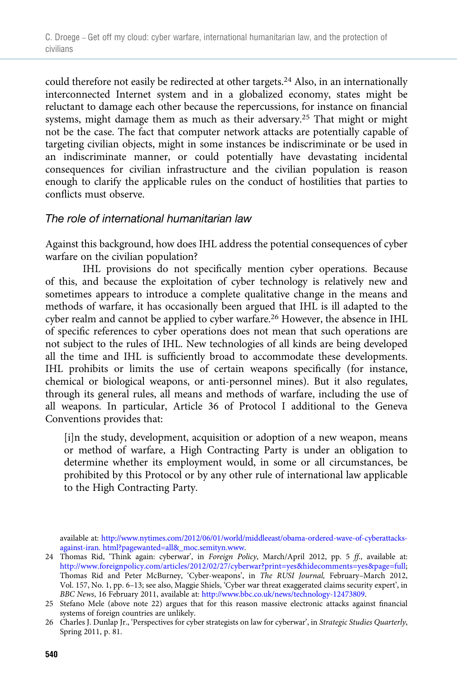could therefore not easily be redirected at other targets.<sup>24</sup> Also, in an internationally interconnected Internet system and in a globalized economy, states might be reluctant to damage each other because the repercussions, for instance on financial systems, might damage them as much as their adversary.25 That might or might not be the case. The fact that computer network attacks are potentially capable of targeting civilian objects, might in some instances be indiscriminate or be used in an indiscriminate manner, or could potentially have devastating incidental consequences for civilian infrastructure and the civilian population is reason enough to clarify the applicable rules on the conduct of hostilities that parties to conflicts must observe.

#### The role of international humanitarian law

Against this background, how does IHL address the potential consequences of cyber warfare on the civilian population?

IHL provisions do not specifically mention cyber operations. Because of this, and because the exploitation of cyber technology is relatively new and sometimes appears to introduce a complete qualitative change in the means and methods of warfare, it has occasionally been argued that IHL is ill adapted to the cyber realm and cannot be applied to cyber warfare.<sup>26</sup> However, the absence in IHL of specific references to cyber operations does not mean that such operations are not subject to the rules of IHL. New technologies of all kinds are being developed all the time and IHL is sufficiently broad to accommodate these developments. IHL prohibits or limits the use of certain weapons specifically (for instance, chemical or biological weapons, or anti-personnel mines). But it also regulates, through its general rules, all means and methods of warfare, including the use of all weapons. In particular, Article 36 of Protocol I additional to the Geneva Conventions provides that:

[i]n the study, development, acquisition or adoption of a new weapon, means or method of warfare, a High Contracting Party is under an obligation to determine whether its employment would, in some or all circumstances, be prohibited by this Protocol or by any other rule of international law applicable to the High Contracting Party.

available at: [http://www.nytimes.com/2012/06/01/world/middleeast/obama-ordered-wave-of-cyberattacks](http://www.nytimes.com/2012/06/01/world/middleeast/obama-ordered-wave-of-cyberattacks-against-iran.html?pagewanted=all&_moc.semityn.www)[against-iran. html?pagewanted=all&\\_moc.semityn.www.](http://www.nytimes.com/2012/06/01/world/middleeast/obama-ordered-wave-of-cyberattacks-against-iran.html?pagewanted=all&_moc.semityn.www)

<sup>24</sup> Thomas Rid, 'Think again: cyberwar', in Foreign Policy, March/April 2012, pp. 5 ff., available at: <http://www.foreignpolicy.com/articles/2012/02/27/cyberwar?print=yes&hidecomments=yes&page=full;> Thomas Rid and Peter McBurney, 'Cyber-weapons', in The RUSI Journal, February–March 2012, Vol. 157, No. 1, pp. 6–13; see also, Maggie Shiels, 'Cyber war threat exaggerated claims security expert', in BBC News, 16 February 2011, available at: <http://www.bbc.co.uk/news/technology-12473809>.

<sup>25</sup> Stefano Mele (above note 22) argues that for this reason massive electronic attacks against financial systems of foreign countries are unlikely.

<sup>26</sup> Charles J. Dunlap Jr., 'Perspectives for cyber strategists on law for cyberwar', in Strategic Studies Quarterly, Spring 2011, p. 81.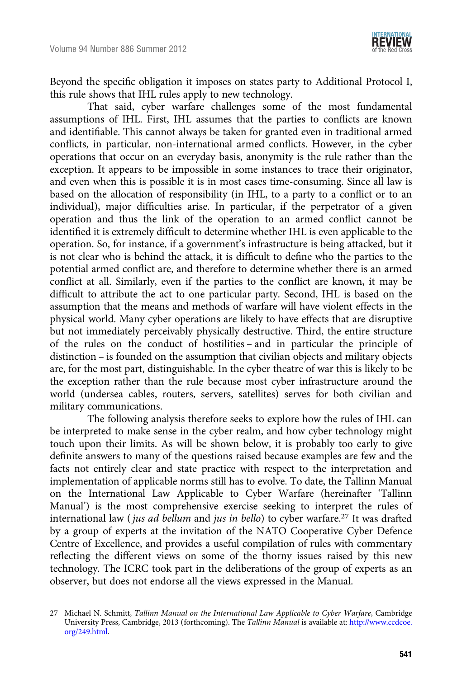

Beyond the specific obligation it imposes on states party to Additional Protocol I, this rule shows that IHL rules apply to new technology.

That said, cyber warfare challenges some of the most fundamental assumptions of IHL. First, IHL assumes that the parties to conflicts are known and identifiable. This cannot always be taken for granted even in traditional armed conflicts, in particular, non-international armed conflicts. However, in the cyber operations that occur on an everyday basis, anonymity is the rule rather than the exception. It appears to be impossible in some instances to trace their originator, and even when this is possible it is in most cases time-consuming. Since all law is based on the allocation of responsibility (in IHL, to a party to a conflict or to an individual), major difficulties arise. In particular, if the perpetrator of a given operation and thus the link of the operation to an armed conflict cannot be identified it is extremely difficult to determine whether IHL is even applicable to the operation. So, for instance, if a government's infrastructure is being attacked, but it is not clear who is behind the attack, it is difficult to define who the parties to the potential armed conflict are, and therefore to determine whether there is an armed conflict at all. Similarly, even if the parties to the conflict are known, it may be difficult to attribute the act to one particular party. Second, IHL is based on the assumption that the means and methods of warfare will have violent effects in the physical world. Many cyber operations are likely to have effects that are disruptive but not immediately perceivably physically destructive. Third, the entire structure of the rules on the conduct of hostilities – and in particular the principle of distinction – is founded on the assumption that civilian objects and military objects are, for the most part, distinguishable. In the cyber theatre of war this is likely to be the exception rather than the rule because most cyber infrastructure around the world (undersea cables, routers, servers, satellites) serves for both civilian and military communications.

The following analysis therefore seeks to explore how the rules of IHL can be interpreted to make sense in the cyber realm, and how cyber technology might touch upon their limits. As will be shown below, it is probably too early to give definite answers to many of the questions raised because examples are few and the facts not entirely clear and state practice with respect to the interpretation and implementation of applicable norms still has to evolve. To date, the Tallinn Manual on the International Law Applicable to Cyber Warfare (hereinafter 'Tallinn Manual') is the most comprehensive exercise seeking to interpret the rules of international law (jus ad bellum and jus in bello) to cyber warfare.27 It was drafted by a group of experts at the invitation of the NATO Cooperative Cyber Defence Centre of Excellence, and provides a useful compilation of rules with commentary reflecting the different views on some of the thorny issues raised by this new technology. The ICRC took part in the deliberations of the group of experts as an observer, but does not endorse all the views expressed in the Manual.

<sup>27</sup> Michael N. Schmitt, Tallinn Manual on the International Law Applicable to Cyber Warfare, Cambridge University Press, Cambridge, 2013 (forthcoming). The Tallinn Manual is available at: [http://www.ccdcoe.](http://www.ccdcoe.org/249.html) [org/249.html](http://www.ccdcoe.org/249.html).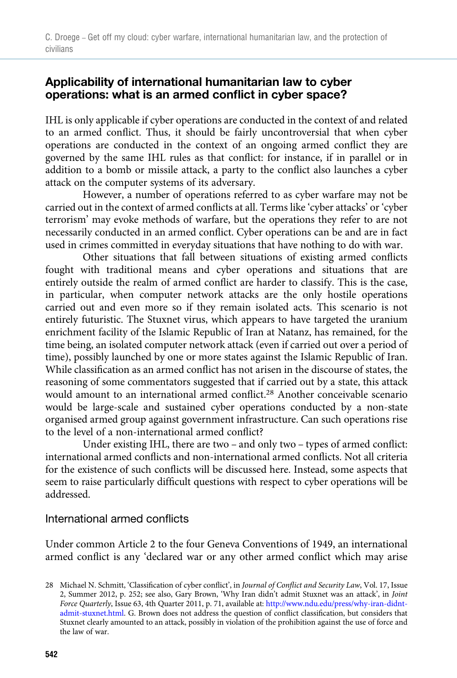C. Droege – Get off my cloud: cyber warfare, international humanitarian law, and the protection of civilians

## Applicability of international humanitarian law to cyber operations: what is an armed conflict in cyber space?

IHL is only applicable if cyber operations are conducted in the context of and related to an armed conflict. Thus, it should be fairly uncontroversial that when cyber operations are conducted in the context of an ongoing armed conflict they are governed by the same IHL rules as that conflict: for instance, if in parallel or in addition to a bomb or missile attack, a party to the conflict also launches a cyber attack on the computer systems of its adversary.

However, a number of operations referred to as cyber warfare may not be carried out in the context of armed conflicts at all. Terms like 'cyber attacks' or 'cyber terrorism' may evoke methods of warfare, but the operations they refer to are not necessarily conducted in an armed conflict. Cyber operations can be and are in fact used in crimes committed in everyday situations that have nothing to do with war.

Other situations that fall between situations of existing armed conflicts fought with traditional means and cyber operations and situations that are entirely outside the realm of armed conflict are harder to classify. This is the case, in particular, when computer network attacks are the only hostile operations carried out and even more so if they remain isolated acts. This scenario is not entirely futuristic. The Stuxnet virus, which appears to have targeted the uranium enrichment facility of the Islamic Republic of Iran at Natanz, has remained, for the time being, an isolated computer network attack (even if carried out over a period of time), possibly launched by one or more states against the Islamic Republic of Iran. While classification as an armed conflict has not arisen in the discourse of states, the reasoning of some commentators suggested that if carried out by a state, this attack would amount to an international armed conflict.<sup>28</sup> Another conceivable scenario would be large-scale and sustained cyber operations conducted by a non-state organised armed group against government infrastructure. Can such operations rise to the level of a non-international armed conflict?

Under existing IHL, there are two – and only two – types of armed conflict: international armed conflicts and non-international armed conflicts. Not all criteria for the existence of such conflicts will be discussed here. Instead, some aspects that seem to raise particularly difficult questions with respect to cyber operations will be addressed.

#### International armed conflicts

Under common Article 2 to the four Geneva Conventions of 1949, an international armed conflict is any 'declared war or any other armed conflict which may arise

<sup>28</sup> Michael N. Schmitt, 'Classification of cyber conflict', in Journal of Conflict and Security Law, Vol. 17, Issue 2, Summer 2012, p. 252; see also, Gary Brown, 'Why Iran didn't admit Stuxnet was an attack', in Joint Force Quarterly, Issue 63, 4th Quarter 2011, p. 71, available at: [http://www.ndu.edu/press/why-iran-didnt](http://www.ndu.edu/press/why-iran-didnt-admit-stuxnet.html)[admit-stuxnet.html.](http://www.ndu.edu/press/why-iran-didnt-admit-stuxnet.html) G. Brown does not address the question of conflict classification, but considers that Stuxnet clearly amounted to an attack, possibly in violation of the prohibition against the use of force and the law of war.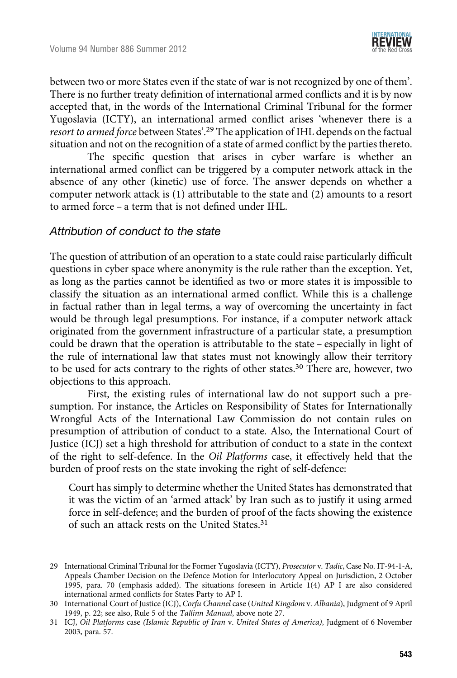between two or more States even if the state of war is not recognized by one of them'. There is no further treaty definition of international armed conflicts and it is by now accepted that, in the words of the International Criminal Tribunal for the former Yugoslavia (ICTY), an international armed conflict arises 'whenever there is a resort to armed force between States'.<sup>29</sup> The application of IHL depends on the factual situation and not on the recognition of a state of armed conflict by the parties thereto.

The specific question that arises in cyber warfare is whether an international armed conflict can be triggered by a computer network attack in the absence of any other (kinetic) use of force. The answer depends on whether a computer network attack is (1) attributable to the state and (2) amounts to a resort to armed force – a term that is not defined under IHL.

#### Attribution of conduct to the state

The question of attribution of an operation to a state could raise particularly difficult questions in cyber space where anonymity is the rule rather than the exception. Yet, as long as the parties cannot be identified as two or more states it is impossible to classify the situation as an international armed conflict. While this is a challenge in factual rather than in legal terms, a way of overcoming the uncertainty in fact would be through legal presumptions. For instance, if a computer network attack originated from the government infrastructure of a particular state, a presumption could be drawn that the operation is attributable to the state – especially in light of the rule of international law that states must not knowingly allow their territory to be used for acts contrary to the rights of other states.<sup>30</sup> There are, however, two objections to this approach.

First, the existing rules of international law do not support such a presumption. For instance, the Articles on Responsibility of States for Internationally Wrongful Acts of the International Law Commission do not contain rules on presumption of attribution of conduct to a state. Also, the International Court of Justice (ICJ) set a high threshold for attribution of conduct to a state in the context of the right to self-defence. In the Oil Platforms case, it effectively held that the burden of proof rests on the state invoking the right of self-defence:

Court has simply to determine whether the United States has demonstrated that it was the victim of an 'armed attack' by Iran such as to justify it using armed force in self-defence; and the burden of proof of the facts showing the existence of such an attack rests on the United States.<sup>31</sup>

<sup>29</sup> International Criminal Tribunal for the Former Yugoslavia (ICTY), Prosecutor v. Tadic, Case No. IT-94-1-A, Appeals Chamber Decision on the Defence Motion for Interlocutory Appeal on Jurisdiction, 2 October 1995, para. 70 (emphasis added). The situations foreseen in Article 1(4) AP I are also considered international armed conflicts for States Party to AP I.

<sup>30</sup> International Court of Justice (ICJ), Corfu Channel case (United Kingdom v. Albania), Judgment of 9 April 1949, p. 22; see also, Rule 5 of the Tallinn Manual, above note 27.

<sup>31</sup> ICJ, Oil Platforms case (Islamic Republic of Iran v. United States of America), Judgment of 6 November 2003, para. 57.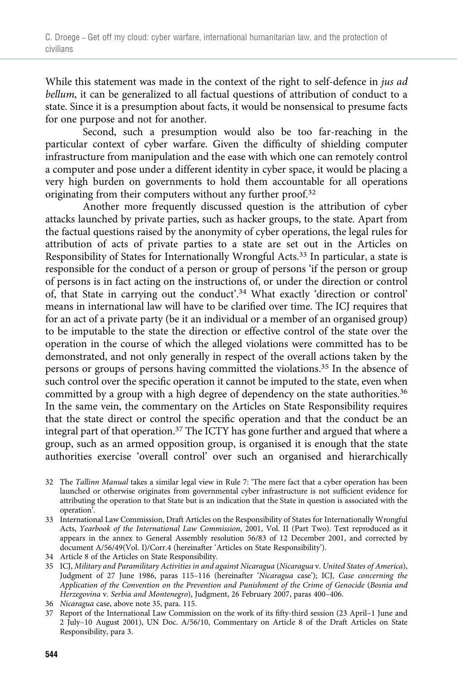While this statement was made in the context of the right to self-defence in *jus ad* bellum, it can be generalized to all factual questions of attribution of conduct to a state. Since it is a presumption about facts, it would be nonsensical to presume facts for one purpose and not for another.

Second, such a presumption would also be too far-reaching in the particular context of cyber warfare. Given the difficulty of shielding computer infrastructure from manipulation and the ease with which one can remotely control a computer and pose under a different identity in cyber space, it would be placing a very high burden on governments to hold them accountable for all operations originating from their computers without any further proof.32

Another more frequently discussed question is the attribution of cyber attacks launched by private parties, such as hacker groups, to the state. Apart from the factual questions raised by the anonymity of cyber operations, the legal rules for attribution of acts of private parties to a state are set out in the Articles on Responsibility of States for Internationally Wrongful Acts.33 In particular, a state is responsible for the conduct of a person or group of persons 'if the person or group of persons is in fact acting on the instructions of, or under the direction or control of, that State in carrying out the conduct'. <sup>34</sup> What exactly 'direction or control' means in international law will have to be clarified over time. The ICJ requires that for an act of a private party (be it an individual or a member of an organised group) to be imputable to the state the direction or effective control of the state over the operation in the course of which the alleged violations were committed has to be demonstrated, and not only generally in respect of the overall actions taken by the persons or groups of persons having committed the violations.35 In the absence of such control over the specific operation it cannot be imputed to the state, even when committed by a group with a high degree of dependency on the state authorities.<sup>36</sup> In the same vein, the commentary on the Articles on State Responsibility requires that the state direct or control the specific operation and that the conduct be an integral part of that operation.37 The ICTY has gone further and argued that where a group, such as an armed opposition group, is organised it is enough that the state authorities exercise 'overall control' over such an organised and hierarchically

- 32 The Tallinn Manual takes a similar legal view in Rule 7: 'The mere fact that a cyber operation has been launched or otherwise originates from governmental cyber infrastructure is not sufficient evidence for attributing the operation to that State but is an indication that the State in question is associated with the operation'.
- 33 International Law Commission, Draft Articles on the Responsibility of States for Internationally Wrongful Acts, Yearbook of the International Law Commission, 2001, Vol. II (Part Two). Text reproduced as it appears in the annex to General Assembly resolution 56/83 of 12 December 2001, and corrected by document A/56/49(Vol. I)/Corr.4 (hereinafter 'Articles on State Responsibility').
- 34 Article 8 of the Articles on State Responsibility.

35 ICJ, Military and Paramilitary Activities in and against Nicaragua (Nicaragua v. United States of America), Judgment of 27 June 1986, paras 115–116 (hereinafter 'Nicaragua case'); ICJ, Case concerning the Application of the Convention on the Prevention and Punishment of the Crime of Genocide (Bosnia and Herzegovina v. Serbia and Montenegro), Judgment, 26 February 2007, paras 400–406.

<sup>36</sup> Nicaragua case, above note 35, para. 115.

<sup>37</sup> Report of the International Law Commission on the work of its fifty-third session (23 April–1 June and 2 July–10 August 2001), UN Doc. A/56/10, Commentary on Article 8 of the Draft Articles on State Responsibility, para 3.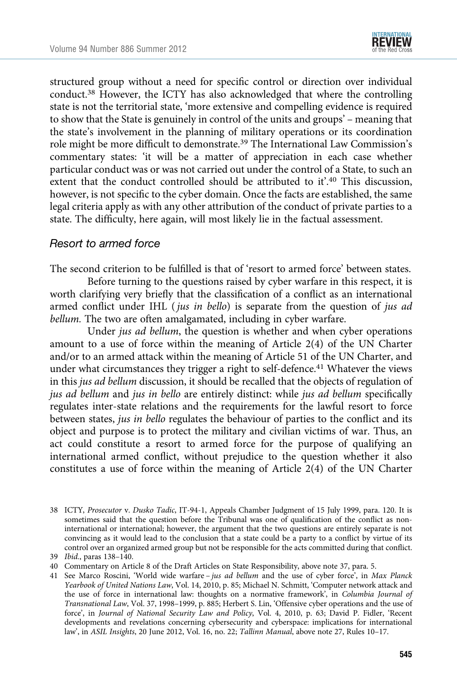

structured group without a need for specific control or direction over individual conduct.38 However, the ICTY has also acknowledged that where the controlling state is not the territorial state, 'more extensive and compelling evidence is required to show that the State is genuinely in control of the units and groups' – meaning that the state's involvement in the planning of military operations or its coordination role might be more difficult to demonstrate.39 The International Law Commission's commentary states: 'it will be a matter of appreciation in each case whether particular conduct was or was not carried out under the control of a State, to such an extent that the conduct controlled should be attributed to it'.<sup>40</sup> This discussion, however, is not specific to the cyber domain. Once the facts are established, the same legal criteria apply as with any other attribution of the conduct of private parties to a state. The difficulty, here again, will most likely lie in the factual assessment.

#### Resort to armed force

The second criterion to be fulfilled is that of 'resort to armed force' between states.

Before turning to the questions raised by cyber warfare in this respect, it is worth clarifying very briefly that the classification of a conflict as an international armed conflict under IHL (jus in bello) is separate from the question of jus ad bellum. The two are often amalgamated, including in cyber warfare.

Under jus ad bellum, the question is whether and when cyber operations amount to a use of force within the meaning of Article 2(4) of the UN Charter and/or to an armed attack within the meaning of Article 51 of the UN Charter, and under what circumstances they trigger a right to self-defence.<sup>41</sup> Whatever the views in this jus ad bellum discussion, it should be recalled that the objects of regulation of jus ad bellum and jus in bello are entirely distinct: while jus ad bellum specifically regulates inter-state relations and the requirements for the lawful resort to force between states, jus in bello regulates the behaviour of parties to the conflict and its object and purpose is to protect the military and civilian victims of war. Thus, an act could constitute a resort to armed force for the purpose of qualifying an international armed conflict, without prejudice to the question whether it also constitutes a use of force within the meaning of Article 2(4) of the UN Charter

<sup>38</sup> ICTY, Prosecutor v. Dusko Tadic, IT-94-1, Appeals Chamber Judgment of 15 July 1999, para. 120. It is sometimes said that the question before the Tribunal was one of qualification of the conflict as noninternational or international; however, the argument that the two questions are entirely separate is not convincing as it would lead to the conclusion that a state could be a party to a conflict by virtue of its control over an organized armed group but not be responsible for the acts committed during that conflict.

<sup>39</sup> Ibid., paras 138–140.

<sup>40</sup> Commentary on Article 8 of the Draft Articles on State Responsibility, above note 37, para. 5.

<sup>41</sup> See Marco Roscini, 'World wide warfare – jus ad bellum and the use of cyber force', in Max Planck Yearbook of United Nations Law, Vol. 14, 2010, p. 85; Michael N. Schmitt, 'Computer network attack and the use of force in international law: thoughts on a normative framework', in Columbia Journal of Transnational Law, Vol. 37, 1998–1999, p. 885; Herbert S. Lin, 'Offensive cyber operations and the use of force', in Journal of National Security Law and Policy, Vol. 4, 2010, p. 63; David P. Fidler, 'Recent developments and revelations concerning cybersecurity and cyberspace: implications for international law', in ASIL Insights, 20 June 2012, Vol. 16, no. 22; Tallinn Manual, above note 27, Rules 10–17.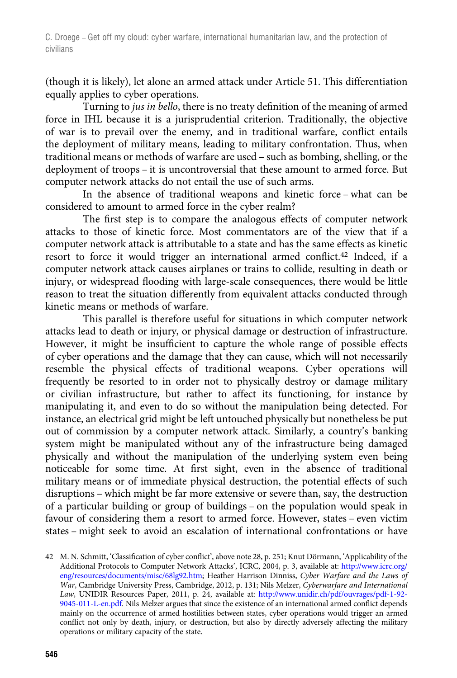C. Droege – Get off my cloud: cyber warfare, international humanitarian law, and the protection of civilians

(though it is likely), let alone an armed attack under Article 51. This differentiation equally applies to cyber operations.

Turning to jus in bello, there is no treaty definition of the meaning of armed force in IHL because it is a jurisprudential criterion. Traditionally, the objective of war is to prevail over the enemy, and in traditional warfare, conflict entails the deployment of military means, leading to military confrontation. Thus, when traditional means or methods of warfare are used – such as bombing, shelling, or the deployment of troops – it is uncontroversial that these amount to armed force. But computer network attacks do not entail the use of such arms.

In the absence of traditional weapons and kinetic force – what can be considered to amount to armed force in the cyber realm?

The first step is to compare the analogous effects of computer network attacks to those of kinetic force. Most commentators are of the view that if a computer network attack is attributable to a state and has the same effects as kinetic resort to force it would trigger an international armed conflict.42 Indeed, if a computer network attack causes airplanes or trains to collide, resulting in death or injury, or widespread flooding with large-scale consequences, there would be little reason to treat the situation differently from equivalent attacks conducted through kinetic means or methods of warfare.

This parallel is therefore useful for situations in which computer network attacks lead to death or injury, or physical damage or destruction of infrastructure. However, it might be insufficient to capture the whole range of possible effects of cyber operations and the damage that they can cause, which will not necessarily resemble the physical effects of traditional weapons. Cyber operations will frequently be resorted to in order not to physically destroy or damage military or civilian infrastructure, but rather to affect its functioning, for instance by manipulating it, and even to do so without the manipulation being detected. For instance, an electrical grid might be left untouched physically but nonetheless be put out of commission by a computer network attack. Similarly, a country's banking system might be manipulated without any of the infrastructure being damaged physically and without the manipulation of the underlying system even being noticeable for some time. At first sight, even in the absence of traditional military means or of immediate physical destruction, the potential effects of such disruptions – which might be far more extensive or severe than, say, the destruction of a particular building or group of buildings – on the population would speak in favour of considering them a resort to armed force. However, states – even victim states – might seek to avoid an escalation of international confrontations or have

<sup>42</sup> M. N. Schmitt, 'Classification of cyber conflict', above note 28, p. 251; Knut Dörmann, 'Applicability of the Additional Protocols to Computer Network Attacks', ICRC, 2004, p. 3, available at: [http://www.icrc.org/](http://www.icrc.org/eng/resources/documents/misc/68lg92.htm;) [eng/resources/documents/misc/68lg92.htm](http://www.icrc.org/eng/resources/documents/misc/68lg92.htm;); Heather Harrison Dinniss, Cyber Warfare and the Laws of War, Cambridge University Press, Cambridge, 2012, p. 131; Nils Melzer, Cyberwarfare and International Law, UNIDIR Resources Paper, 2011, p. 24, available at: [http://www.unidir.ch/pdf/ouvrages/pdf-1-92-](http://www.unidir.ch/pdf/ouvrages/pdf-1-92-9045-011-L-en.pdf) [9045-011-L-en.pdf.](http://www.unidir.ch/pdf/ouvrages/pdf-1-92-9045-011-L-en.pdf) Nils Melzer argues that since the existence of an international armed conflict depends mainly on the occurrence of armed hostilities between states, cyber operations would trigger an armed conflict not only by death, injury, or destruction, but also by directly adversely affecting the military operations or military capacity of the state.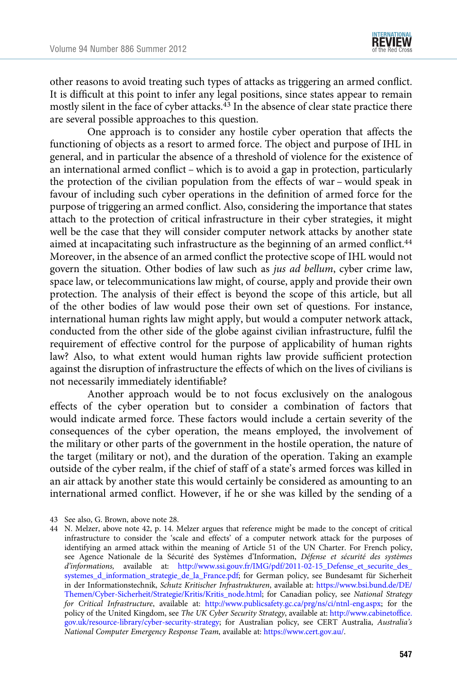

other reasons to avoid treating such types of attacks as triggering an armed conflict. It is difficult at this point to infer any legal positions, since states appear to remain mostly silent in the face of cyber attacks.<sup>43</sup> In the absence of clear state practice there are several possible approaches to this question.

One approach is to consider any hostile cyber operation that affects the functioning of objects as a resort to armed force. The object and purpose of IHL in general, and in particular the absence of a threshold of violence for the existence of an international armed conflict – which is to avoid a gap in protection, particularly the protection of the civilian population from the effects of war – would speak in favour of including such cyber operations in the definition of armed force for the purpose of triggering an armed conflict. Also, considering the importance that states attach to the protection of critical infrastructure in their cyber strategies, it might well be the case that they will consider computer network attacks by another state aimed at incapacitating such infrastructure as the beginning of an armed conflict.<sup>44</sup> Moreover, in the absence of an armed conflict the protective scope of IHL would not govern the situation. Other bodies of law such as jus ad bellum, cyber crime law, space law, or telecommunications law might, of course, apply and provide their own protection. The analysis of their effect is beyond the scope of this article, but all of the other bodies of law would pose their own set of questions. For instance, international human rights law might apply, but would a computer network attack, conducted from the other side of the globe against civilian infrastructure, fulfil the requirement of effective control for the purpose of applicability of human rights law? Also, to what extent would human rights law provide sufficient protection against the disruption of infrastructure the effects of which on the lives of civilians is not necessarily immediately identifiable?

Another approach would be to not focus exclusively on the analogous effects of the cyber operation but to consider a combination of factors that would indicate armed force. These factors would include a certain severity of the consequences of the cyber operation, the means employed, the involvement of the military or other parts of the government in the hostile operation, the nature of the target (military or not), and the duration of the operation. Taking an example outside of the cyber realm, if the chief of staff of a state's armed forces was killed in an air attack by another state this would certainly be considered as amounting to an international armed conflict. However, if he or she was killed by the sending of a

<sup>43</sup> See also, G. Brown, above note 28.

<sup>44</sup> N. Melzer, above note 42, p. 14. Melzer argues that reference might be made to the concept of critical infrastructure to consider the 'scale and effects' of a computer network attack for the purposes of identifying an armed attack within the meaning of Article 51 of the UN Charter. For French policy, see Agence Nationale de la Sécurité des Systèmes d'Information, Défense et sécurité des systèmes d'informations, available at: [http://www.ssi.gouv.fr/IMG/pdf/2011-02-15\\_Defense\\_et\\_securite\\_des\\_](http://www.ssi.gouv.fr/IMG/pdf/2011-02-15_Defense_et_securite_des_systemes_d_information_strategie_de_la_France.pdf;) [systemes\\_d\\_information\\_strategie\\_de\\_la\\_France.pdf;](http://www.ssi.gouv.fr/IMG/pdf/2011-02-15_Defense_et_securite_des_systemes_d_information_strategie_de_la_France.pdf;) for German policy, see Bundesamt für Sicherheit in der Informationstechnik, Schutz Kritischer Infrastrukturen, available at: [https://www.bsi.bund.de/DE/](https://www.bsi.bund.de/DE/Themen/Cyber-Sicherheit/Strategie/Kritis/Kritis_node.html;) [Themen/Cyber-Sicherheit/Strategie/Kritis/Kritis\\_node.html;](https://www.bsi.bund.de/DE/Themen/Cyber-Sicherheit/Strategie/Kritis/Kritis_node.html;) for Canadian policy, see National Strategy for Critical Infrastructure, available at: <http://www.publicsafety.gc.ca/prg/ns/ci/ntnl-eng.aspx;> for the policy of the United Kingdom, see The UK Cyber Security Strategy, available at: [http://www.cabinetof](http://www.cabinetoffice.gov.uk/resource-library/cyber-security-strategy;)fice. [gov.uk/resource-library/cyber-security-strategy;](http://www.cabinetoffice.gov.uk/resource-library/cyber-security-strategy;) for Australian policy, see CERT Australia, Australia's National Computer Emergency Response Team, available at: <https://www.cert.gov.au/>.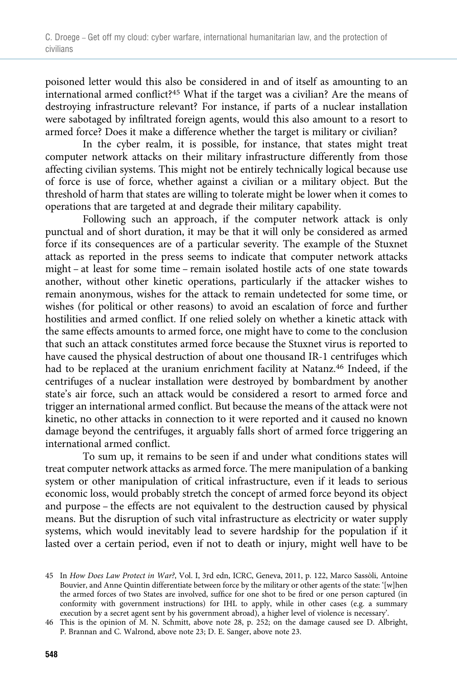poisoned letter would this also be considered in and of itself as amounting to an international armed conflict?45 What if the target was a civilian? Are the means of destroying infrastructure relevant? For instance, if parts of a nuclear installation were sabotaged by infiltrated foreign agents, would this also amount to a resort to armed force? Does it make a difference whether the target is military or civilian?

In the cyber realm, it is possible, for instance, that states might treat computer network attacks on their military infrastructure differently from those affecting civilian systems. This might not be entirely technically logical because use of force is use of force, whether against a civilian or a military object. But the threshold of harm that states are willing to tolerate might be lower when it comes to operations that are targeted at and degrade their military capability.

Following such an approach, if the computer network attack is only punctual and of short duration, it may be that it will only be considered as armed force if its consequences are of a particular severity. The example of the Stuxnet attack as reported in the press seems to indicate that computer network attacks might – at least for some time – remain isolated hostile acts of one state towards another, without other kinetic operations, particularly if the attacker wishes to remain anonymous, wishes for the attack to remain undetected for some time, or wishes (for political or other reasons) to avoid an escalation of force and further hostilities and armed conflict. If one relied solely on whether a kinetic attack with the same effects amounts to armed force, one might have to come to the conclusion that such an attack constitutes armed force because the Stuxnet virus is reported to have caused the physical destruction of about one thousand IR-1 centrifuges which had to be replaced at the uranium enrichment facility at Natanz.<sup>46</sup> Indeed, if the centrifuges of a nuclear installation were destroyed by bombardment by another state's air force, such an attack would be considered a resort to armed force and trigger an international armed conflict. But because the means of the attack were not kinetic, no other attacks in connection to it were reported and it caused no known damage beyond the centrifuges, it arguably falls short of armed force triggering an international armed conflict.

To sum up, it remains to be seen if and under what conditions states will treat computer network attacks as armed force. The mere manipulation of a banking system or other manipulation of critical infrastructure, even if it leads to serious economic loss, would probably stretch the concept of armed force beyond its object and purpose – the effects are not equivalent to the destruction caused by physical means. But the disruption of such vital infrastructure as electricity or water supply systems, which would inevitably lead to severe hardship for the population if it lasted over a certain period, even if not to death or injury, might well have to be

<sup>45</sup> In How Does Law Protect in War?, Vol. I, 3rd edn, ICRC, Geneva, 2011, p. 122, Marco Sassòli, Antoine Bouvier, and Anne Quintin differentiate between force by the military or other agents of the state: '[w]hen the armed forces of two States are involved, suffice for one shot to be fired or one person captured (in conformity with government instructions) for IHL to apply, while in other cases (e.g. a summary execution by a secret agent sent by his government abroad), a higher level of violence is necessary'.

<sup>46</sup> This is the opinion of M. N. Schmitt, above note 28, p. 252; on the damage caused see D. Albright, P. Brannan and C. Walrond, above note 23; D. E. Sanger, above note 23.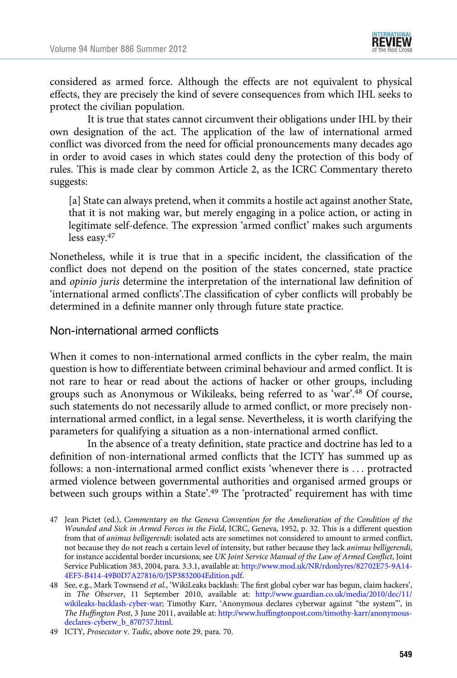

considered as armed force. Although the effects are not equivalent to physical effects, they are precisely the kind of severe consequences from which IHL seeks to protect the civilian population.

It is true that states cannot circumvent their obligations under IHL by their own designation of the act. The application of the law of international armed conflict was divorced from the need for official pronouncements many decades ago in order to avoid cases in which states could deny the protection of this body of rules. This is made clear by common Article 2, as the ICRC Commentary thereto suggests:

[a] State can always pretend, when it commits a hostile act against another State, that it is not making war, but merely engaging in a police action, or acting in legitimate self-defence. The expression 'armed conflict' makes such arguments less easy.<sup>47</sup>

Nonetheless, while it is true that in a specific incident, the classification of the conflict does not depend on the position of the states concerned, state practice and opinio juris determine the interpretation of the international law definition of 'international armed conflicts'.The classification of cyber conflicts will probably be determined in a definite manner only through future state practice.

Non-international armed conflicts

When it comes to non-international armed conflicts in the cyber realm, the main question is how to differentiate between criminal behaviour and armed conflict. It is not rare to hear or read about the actions of hacker or other groups, including groups such as Anonymous or Wikileaks, being referred to as 'war'. <sup>48</sup> Of course, such statements do not necessarily allude to armed conflict, or more precisely noninternational armed conflict, in a legal sense. Nevertheless, it is worth clarifying the parameters for qualifying a situation as a non-international armed conflict.

In the absence of a treaty definition, state practice and doctrine has led to a definition of non-international armed conflicts that the ICTY has summed up as follows: a non-international armed conflict exists 'whenever there is ... protracted armed violence between governmental authorities and organised armed groups or between such groups within a State'.<sup>49</sup> The 'protracted' requirement has with time

<sup>47</sup> Jean Pictet (ed.), Commentary on the Geneva Convention for the Amelioration of the Condition of the Wounded and Sick in Armed Forces in the Field, ICRC, Geneva, 1952, p. 32. This is a different question from that of animus belligerendi: isolated acts are sometimes not considered to amount to armed conflict, not because they do not reach a certain level of intensity, but rather because they lack animus belligerendi, for instance accidental border incursions; see UK Joint Service Manual of the Law of Armed Conflict, Joint Service Publication 383, 2004, para. 3.3.1, available at: [http://www.mod.uk/NR/rdonlyres/82702E75-9A14-](http://www.mod.uk/NR/rdonlyres/82702E75-9A14-4EF5-B414-49B0D7A27816/0/JSP3832004Edition.pdf) [4EF5-B414-49B0D7A27816/0/JSP3832004Edition.pdf.](http://www.mod.uk/NR/rdonlyres/82702E75-9A14-4EF5-B414-49B0D7A27816/0/JSP3832004Edition.pdf)

<sup>48</sup> See, e.g., Mark Townsend et al., 'WikiLeaks backlash: The first global cyber war has begun, claim hackers', in The Observer, 11 September 2010, available at: [http://www.guardian.co.uk/media/2010/dec/11/](http://www.guardian.co.uk/media/2010/dec/11/wikileaks-backlash-cyber-war;) [wikileaks-backlash-cyber-war;](http://www.guardian.co.uk/media/2010/dec/11/wikileaks-backlash-cyber-war;) Timothy Karr, 'Anonymous declares cyberwar against "the system"', in The Huffington Post, 3 June 2011, available at: [http:/](http://www.huffingtonpost.com/timothy-karr/anonymous-declares-cyberw_b_870757.html)/www.huffi[ngtonpost.com/timothy-karr/anonymous](http://www.huffingtonpost.com/timothy-karr/anonymous-declares-cyberw_b_870757.html)[declares-cyberw\\_b\\_870757.html](http://www.huffingtonpost.com/timothy-karr/anonymous-declares-cyberw_b_870757.html).

<sup>49</sup> ICTY, Prosecutor v. Tadic, above note 29, para. 70.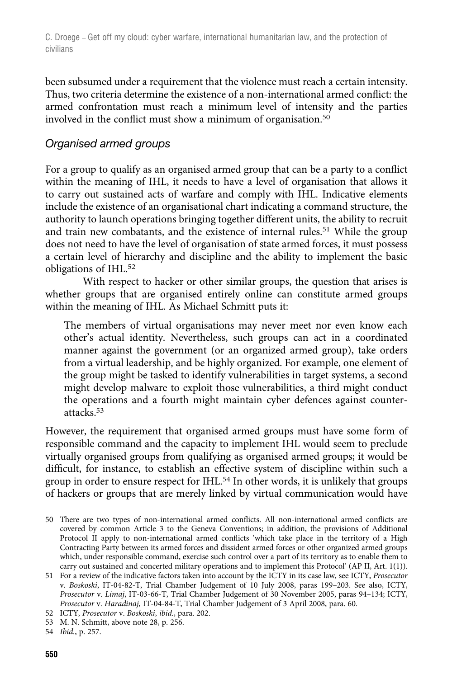been subsumed under a requirement that the violence must reach a certain intensity. Thus, two criteria determine the existence of a non-international armed conflict: the armed confrontation must reach a minimum level of intensity and the parties involved in the conflict must show a minimum of organisation.50

## Organised armed groups

For a group to qualify as an organised armed group that can be a party to a conflict within the meaning of IHL, it needs to have a level of organisation that allows it to carry out sustained acts of warfare and comply with IHL. Indicative elements include the existence of an organisational chart indicating a command structure, the authority to launch operations bringing together different units, the ability to recruit and train new combatants, and the existence of internal rules.<sup>51</sup> While the group does not need to have the level of organisation of state armed forces, it must possess a certain level of hierarchy and discipline and the ability to implement the basic obligations of IHL.52

With respect to hacker or other similar groups, the question that arises is whether groups that are organised entirely online can constitute armed groups within the meaning of IHL. As Michael Schmitt puts it:

The members of virtual organisations may never meet nor even know each other's actual identity. Nevertheless, such groups can act in a coordinated manner against the government (or an organized armed group), take orders from a virtual leadership, and be highly organized. For example, one element of the group might be tasked to identify vulnerabilities in target systems, a second might develop malware to exploit those vulnerabilities, a third might conduct the operations and a fourth might maintain cyber defences against counterattacks.53

However, the requirement that organised armed groups must have some form of responsible command and the capacity to implement IHL would seem to preclude virtually organised groups from qualifying as organised armed groups; it would be difficult, for instance, to establish an effective system of discipline within such a group in order to ensure respect for IHL.<sup>54</sup> In other words, it is unlikely that groups of hackers or groups that are merely linked by virtual communication would have

<sup>50</sup> There are two types of non-international armed conflicts. All non-international armed conflicts are covered by common Article 3 to the Geneva Conventions; in addition, the provisions of Additional Protocol II apply to non-international armed conflicts 'which take place in the territory of a High Contracting Party between its armed forces and dissident armed forces or other organized armed groups which, under responsible command, exercise such control over a part of its territory as to enable them to carry out sustained and concerted military operations and to implement this Protocol' (AP II, Art. 1(1)).

<sup>51</sup> For a review of the indicative factors taken into account by the ICTY in its case law, see ICTY, Prosecutor v. Boskoski, IT-04-82-T, Trial Chamber Judgement of 10 July 2008, paras 199–203. See also, ICTY, Prosecutor v. Limaj, IT-03-66-T, Trial Chamber Judgement of 30 November 2005, paras 94–134; ICTY, Prosecutor v. Haradinaj, IT-04-84-T, Trial Chamber Judgement of 3 April 2008, para. 60.

<sup>52</sup> ICTY, Prosecutor v. Boskoski, ibid., para. 202.

<sup>53</sup> M. N. Schmitt, above note 28, p. 256.

<sup>54</sup> Ibid., p. 257.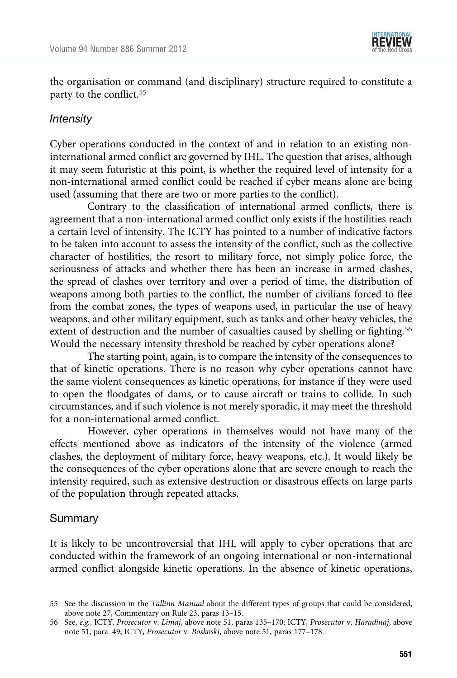

the organisation or command (and disciplinary) structure required to constitute a party to the conflict.<sup>55</sup>

#### Intensity

Cyber operations conducted in the context of and in relation to an existing noninternational armed conflict are governed by IHL. The question that arises, although it may seem futuristic at this point, is whether the required level of intensity for a non-international armed conflict could be reached if cyber means alone are being used (assuming that there are two or more parties to the conflict).

Contrary to the classification of international armed conflicts, there is agreement that a non-international armed conflict only exists if the hostilities reach a certain level of intensity. The ICTY has pointed to a number of indicative factors to be taken into account to assess the intensity of the conflict, such as the collective character of hostilities, the resort to military force, not simply police force, the seriousness of attacks and whether there has been an increase in armed clashes, the spread of clashes over territory and over a period of time, the distribution of weapons among both parties to the conflict, the number of civilians forced to flee from the combat zones, the types of weapons used, in particular the use of heavy weapons, and other military equipment, such as tanks and other heavy vehicles, the extent of destruction and the number of casualties caused by shelling or fighting.<sup>56</sup> Would the necessary intensity threshold be reached by cyber operations alone?

The starting point, again, is to compare the intensity of the consequences to that of kinetic operations. There is no reason why cyber operations cannot have the same violent consequences as kinetic operations, for instance if they were used to open the floodgates of dams, or to cause aircraft or trains to collide. In such circumstances, and if such violence is not merely sporadic, it may meet the threshold for a non-international armed conflict.

However, cyber operations in themselves would not have many of the effects mentioned above as indicators of the intensity of the violence (armed clashes, the deployment of military force, heavy weapons, etc.). It would likely be the consequences of the cyber operations alone that are severe enough to reach the intensity required, such as extensive destruction or disastrous effects on large parts of the population through repeated attacks.

#### Summary

It is likely to be uncontroversial that IHL will apply to cyber operations that are conducted within the framework of an ongoing international or non-international armed conflict alongside kinetic operations. In the absence of kinetic operations,

<sup>55</sup> See the discussion in the Tallinn Manual about the different types of groups that could be considered, above note 27, Commentary on Rule 23, paras 13–15.

<sup>56</sup> See, e.g., ICTY, Prosecutor v. Limaj, above note 51, paras 135–170; ICTY, Prosecutor v. Haradinaj, above note 51, para. 49; ICTY, Prosecutor v. Boskoski, above note 51, paras 177–178.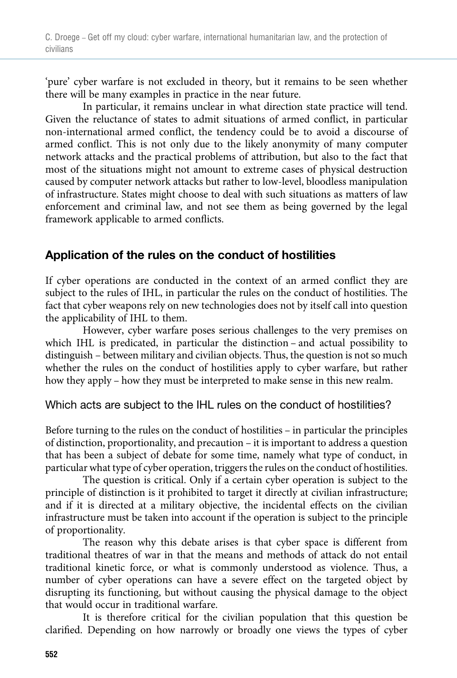'pure' cyber warfare is not excluded in theory, but it remains to be seen whether there will be many examples in practice in the near future.

In particular, it remains unclear in what direction state practice will tend. Given the reluctance of states to admit situations of armed conflict, in particular non-international armed conflict, the tendency could be to avoid a discourse of armed conflict. This is not only due to the likely anonymity of many computer network attacks and the practical problems of attribution, but also to the fact that most of the situations might not amount to extreme cases of physical destruction caused by computer network attacks but rather to low-level, bloodless manipulation of infrastructure. States might choose to deal with such situations as matters of law enforcement and criminal law, and not see them as being governed by the legal framework applicable to armed conflicts.

## Application of the rules on the conduct of hostilities

If cyber operations are conducted in the context of an armed conflict they are subject to the rules of IHL, in particular the rules on the conduct of hostilities. The fact that cyber weapons rely on new technologies does not by itself call into question the applicability of IHL to them.

However, cyber warfare poses serious challenges to the very premises on which IHL is predicated, in particular the distinction – and actual possibility to distinguish – between military and civilian objects. Thus, the question is not so much whether the rules on the conduct of hostilities apply to cyber warfare, but rather how they apply – how they must be interpreted to make sense in this new realm.

Which acts are subject to the IHL rules on the conduct of hostilities?

Before turning to the rules on the conduct of hostilities – in particular the principles of distinction, proportionality, and precaution – it is important to address a question that has been a subject of debate for some time, namely what type of conduct, in particular what type of cyber operation, triggers the rules on the conduct of hostilities.

The question is critical. Only if a certain cyber operation is subject to the principle of distinction is it prohibited to target it directly at civilian infrastructure; and if it is directed at a military objective, the incidental effects on the civilian infrastructure must be taken into account if the operation is subject to the principle of proportionality.

The reason why this debate arises is that cyber space is different from traditional theatres of war in that the means and methods of attack do not entail traditional kinetic force, or what is commonly understood as violence. Thus, a number of cyber operations can have a severe effect on the targeted object by disrupting its functioning, but without causing the physical damage to the object that would occur in traditional warfare.

It is therefore critical for the civilian population that this question be clarified. Depending on how narrowly or broadly one views the types of cyber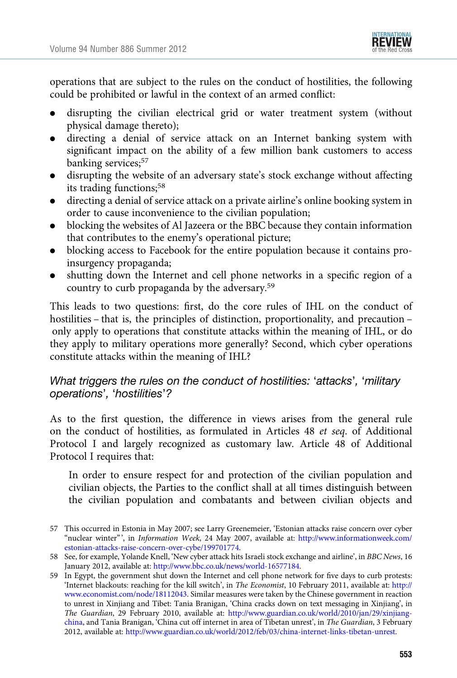operations that are subject to the rules on the conduct of hostilities, the following could be prohibited or lawful in the context of an armed conflict:

- . disrupting the civilian electrical grid or water treatment system (without physical damage thereto);
- . directing a denial of service attack on an Internet banking system with significant impact on the ability of a few million bank customers to access banking services;<sup>57</sup>
- . disrupting the website of an adversary state's stock exchange without affecting its trading functions;<sup>58</sup>
- . directing a denial of service attack on a private airline's online booking system in order to cause inconvenience to the civilian population;
- . blocking the websites of Al Jazeera or the BBC because they contain information that contributes to the enemy's operational picture;
- . blocking access to Facebook for the entire population because it contains proinsurgency propaganda;
- . shutting down the Internet and cell phone networks in a specific region of a country to curb propaganda by the adversary.<sup>59</sup>

This leads to two questions: first, do the core rules of IHL on the conduct of hostilities – that is, the principles of distinction, proportionality, and precaution – only apply to operations that constitute attacks within the meaning of IHL, or do they apply to military operations more generally? Second, which cyber operations constitute attacks within the meaning of IHL?

## What triggers the rules on the conduct of hostilities: 'attacks', 'military operations', 'hostilities'?

As to the first question, the difference in views arises from the general rule on the conduct of hostilities, as formulated in Articles 48 et seq. of Additional Protocol I and largely recognized as customary law. Article 48 of Additional Protocol I requires that:

In order to ensure respect for and protection of the civilian population and civilian objects, the Parties to the conflict shall at all times distinguish between the civilian population and combatants and between civilian objects and

<sup>57</sup> This occurred in Estonia in May 2007; see Larry Greenemeier, 'Estonian attacks raise concern over cyber "nuclear winter" ', in Information Week, 24 May 2007, available at: [http://www.informationweek.com/](http://www.informationweek.com/estonian-attacks-raise-concern-over-cybe/199701774) [estonian-attacks-raise-concern-over-cybe/199701774.](http://www.informationweek.com/estonian-attacks-raise-concern-over-cybe/199701774)

<sup>58</sup> See, for example, Yolande Knell, 'New cyber attack hits Israeli stock exchange and airline', in BBC News, 16 January 2012, available at: [http://www.bbc.co.uk/news/world-16577184.](http://www.bbc.co.uk/news/world-16577184)

<sup>59</sup> In Egypt, the government shut down the Internet and cell phone network for five days to curb protests: 'Internet blackouts: reaching for the kill switch', in The Economist, 10 February 2011, available at: [http://](http://www.economist.com/node/18112043) [www.economist.com/node/18112043.](http://www.economist.com/node/18112043) Similar measures were taken by the Chinese government in reaction to unrest in Xinjiang and Tibet: Tania Branigan, 'China cracks down on text messaging in Xinjiang', in The Guardian, 29 February 2010, available at: [http://www.guardian.co.uk/world/2010/jan/29/xinjiang](http://www.guardian.co.uk/world/2010/jan/29/xinjiang-china)[china](http://www.guardian.co.uk/world/2010/jan/29/xinjiang-china), and Tania Branigan, 'China cut off internet in area of Tibetan unrest', in The Guardian, 3 February 2012, available at: [http://www.guardian.co.uk/world/2012/feb/03/china-internet-links-tibetan-unrest.](http://www.guardian.co.uk/world/2012/feb/03/china-internet-links-tibetan-unrest)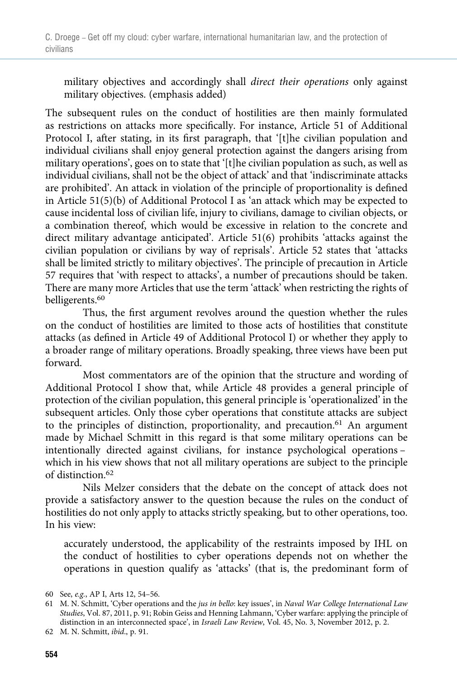military objectives and accordingly shall direct their operations only against military objectives. (emphasis added)

The subsequent rules on the conduct of hostilities are then mainly formulated as restrictions on attacks more specifically. For instance, Article 51 of Additional Protocol I, after stating, in its first paragraph, that '[t]he civilian population and individual civilians shall enjoy general protection against the dangers arising from military operations', goes on to state that '[t]he civilian population as such, as well as individual civilians, shall not be the object of attack' and that 'indiscriminate attacks are prohibited'. An attack in violation of the principle of proportionality is defined in Article 51(5)(b) of Additional Protocol I as 'an attack which may be expected to cause incidental loss of civilian life, injury to civilians, damage to civilian objects, or a combination thereof, which would be excessive in relation to the concrete and direct military advantage anticipated'. Article 51(6) prohibits 'attacks against the civilian population or civilians by way of reprisals'. Article 52 states that 'attacks shall be limited strictly to military objectives'. The principle of precaution in Article 57 requires that 'with respect to attacks', a number of precautions should be taken. There are many more Articles that use the term 'attack' when restricting the rights of belligerents.<sup>60</sup>

Thus, the first argument revolves around the question whether the rules on the conduct of hostilities are limited to those acts of hostilities that constitute attacks (as defined in Article 49 of Additional Protocol I) or whether they apply to a broader range of military operations. Broadly speaking, three views have been put forward.

Most commentators are of the opinion that the structure and wording of Additional Protocol I show that, while Article 48 provides a general principle of protection of the civilian population, this general principle is 'operationalized' in the subsequent articles. Only those cyber operations that constitute attacks are subject to the principles of distinction, proportionality, and precaution.<sup>61</sup> An argument made by Michael Schmitt in this regard is that some military operations can be intentionally directed against civilians, for instance psychological operations – which in his view shows that not all military operations are subject to the principle of distinction.62

Nils Melzer considers that the debate on the concept of attack does not provide a satisfactory answer to the question because the rules on the conduct of hostilities do not only apply to attacks strictly speaking, but to other operations, too. In his view:

accurately understood, the applicability of the restraints imposed by IHL on the conduct of hostilities to cyber operations depends not on whether the operations in question qualify as 'attacks' (that is, the predominant form of

<sup>60</sup> See, e.g., AP I, Arts 12, 54–56.

<sup>61</sup> M. N. Schmitt, 'Cyber operations and the jus in bello: key issues', in Naval War College International Law Studies, Vol. 87, 2011, p. 91; Robin Geiss and Henning Lahmann, 'Cyber warfare: applying the principle of distinction in an interconnected space', in Israeli Law Review, Vol. 45, No. 3, November 2012, p. 2.

<sup>62</sup> M. N. Schmitt, ibid., p. 91.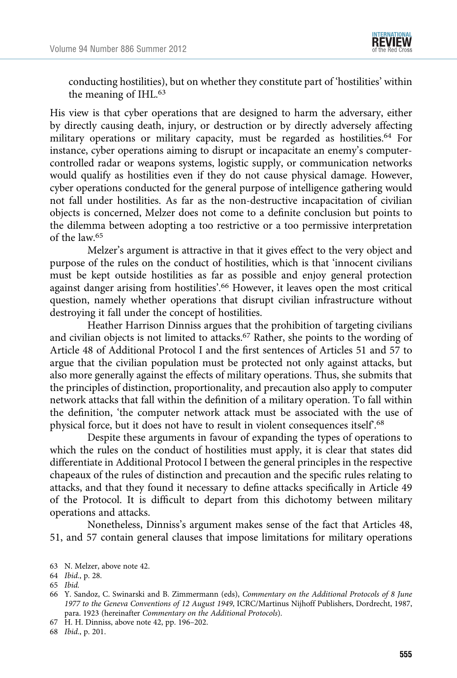conducting hostilities), but on whether they constitute part of 'hostilities' within the meaning of IHL.<sup>63</sup>

His view is that cyber operations that are designed to harm the adversary, either by directly causing death, injury, or destruction or by directly adversely affecting military operations or military capacity, must be regarded as hostilities.64 For instance, cyber operations aiming to disrupt or incapacitate an enemy's computercontrolled radar or weapons systems, logistic supply, or communication networks would qualify as hostilities even if they do not cause physical damage. However, cyber operations conducted for the general purpose of intelligence gathering would not fall under hostilities. As far as the non-destructive incapacitation of civilian objects is concerned, Melzer does not come to a definite conclusion but points to the dilemma between adopting a too restrictive or a too permissive interpretation of the law.<sup>65</sup>

Melzer's argument is attractive in that it gives effect to the very object and purpose of the rules on the conduct of hostilities, which is that 'innocent civilians must be kept outside hostilities as far as possible and enjoy general protection against danger arising from hostilities'.<sup>66</sup> However, it leaves open the most critical question, namely whether operations that disrupt civilian infrastructure without destroying it fall under the concept of hostilities.

Heather Harrison Dinniss argues that the prohibition of targeting civilians and civilian objects is not limited to attacks.67 Rather, she points to the wording of Article 48 of Additional Protocol I and the first sentences of Articles 51 and 57 to argue that the civilian population must be protected not only against attacks, but also more generally against the effects of military operations. Thus, she submits that the principles of distinction, proportionality, and precaution also apply to computer network attacks that fall within the definition of a military operation. To fall within the definition, 'the computer network attack must be associated with the use of physical force, but it does not have to result in violent consequences itself.<sup>68</sup>

Despite these arguments in favour of expanding the types of operations to which the rules on the conduct of hostilities must apply, it is clear that states did differentiate in Additional Protocol I between the general principles in the respective chapeaux of the rules of distinction and precaution and the specific rules relating to attacks, and that they found it necessary to define attacks specifically in Article 49 of the Protocol. It is difficult to depart from this dichotomy between military operations and attacks.

Nonetheless, Dinniss's argument makes sense of the fact that Articles 48, 51, and 57 contain general clauses that impose limitations for military operations

<sup>63</sup> N. Melzer, above note 42.

<sup>64</sup> Ibid., p. 28.

<sup>65</sup> Ibid.

<sup>66</sup> Y. Sandoz, C. Swinarski and B. Zimmermann (eds), Commentary on the Additional Protocols of 8 June 1977 to the Geneva Conventions of 12 August 1949, ICRC/Martinus Nijhoff Publishers, Dordrecht, 1987, para. 1923 (hereinafter Commentary on the Additional Protocols).

<sup>67</sup> H. H. Dinniss, above note 42, pp. 196–202.

<sup>68</sup> Ibid., p. 201.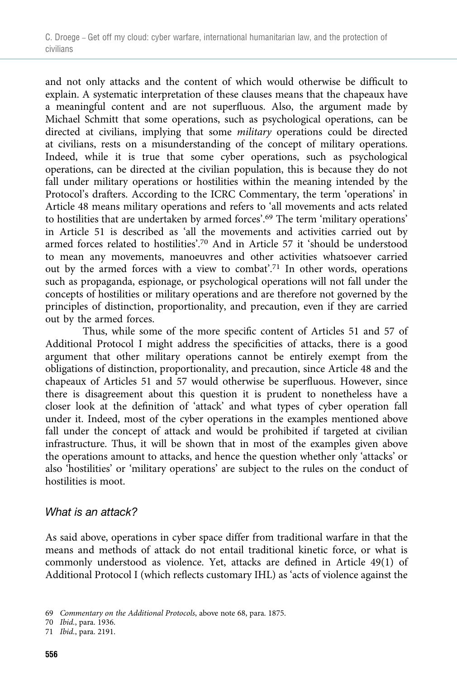and not only attacks and the content of which would otherwise be difficult to explain. A systematic interpretation of these clauses means that the chapeaux have a meaningful content and are not superfluous. Also, the argument made by Michael Schmitt that some operations, such as psychological operations, can be directed at civilians, implying that some military operations could be directed at civilians, rests on a misunderstanding of the concept of military operations. Indeed, while it is true that some cyber operations, such as psychological operations, can be directed at the civilian population, this is because they do not fall under military operations or hostilities within the meaning intended by the Protocol's drafters. According to the ICRC Commentary, the term 'operations' in Article 48 means military operations and refers to 'all movements and acts related to hostilities that are undertaken by armed forces'. <sup>69</sup> The term 'military operations' in Article 51 is described as 'all the movements and activities carried out by armed forces related to hostilities'. <sup>70</sup> And in Article 57 it 'should be understood to mean any movements, manoeuvres and other activities whatsoever carried out by the armed forces with a view to combat'.<sup>71</sup> In other words, operations such as propaganda, espionage, or psychological operations will not fall under the concepts of hostilities or military operations and are therefore not governed by the principles of distinction, proportionality, and precaution, even if they are carried out by the armed forces.

Thus, while some of the more specific content of Articles 51 and 57 of Additional Protocol I might address the specificities of attacks, there is a good argument that other military operations cannot be entirely exempt from the obligations of distinction, proportionality, and precaution, since Article 48 and the chapeaux of Articles 51 and 57 would otherwise be superfluous. However, since there is disagreement about this question it is prudent to nonetheless have a closer look at the definition of 'attack' and what types of cyber operation fall under it. Indeed, most of the cyber operations in the examples mentioned above fall under the concept of attack and would be prohibited if targeted at civilian infrastructure. Thus, it will be shown that in most of the examples given above the operations amount to attacks, and hence the question whether only 'attacks' or also 'hostilities' or 'military operations' are subject to the rules on the conduct of hostilities is moot.

## What is an attack?

As said above, operations in cyber space differ from traditional warfare in that the means and methods of attack do not entail traditional kinetic force, or what is commonly understood as violence. Yet, attacks are defined in Article 49(1) of Additional Protocol I (which reflects customary IHL) as 'acts of violence against the

<sup>69</sup> Commentary on the Additional Protocols, above note 68, para. 1875.

<sup>70</sup> Ibid., para. 1936.

<sup>71</sup> Ibid., para. 2191.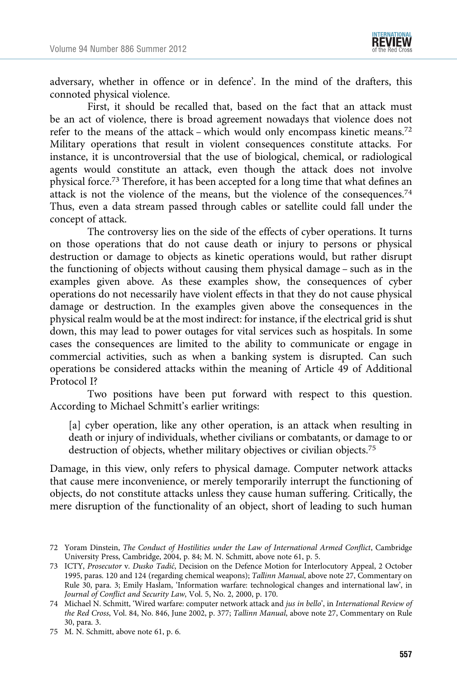adversary, whether in offence or in defence'. In the mind of the drafters, this connoted physical violence.

First, it should be recalled that, based on the fact that an attack must be an act of violence, there is broad agreement nowadays that violence does not refer to the means of the attack – which would only encompass kinetic means.72 Military operations that result in violent consequences constitute attacks. For instance, it is uncontroversial that the use of biological, chemical, or radiological agents would constitute an attack, even though the attack does not involve physical force.73 Therefore, it has been accepted for a long time that what defines an attack is not the violence of the means, but the violence of the consequences.<sup>74</sup> Thus, even a data stream passed through cables or satellite could fall under the concept of attack.

The controversy lies on the side of the effects of cyber operations. It turns on those operations that do not cause death or injury to persons or physical destruction or damage to objects as kinetic operations would, but rather disrupt the functioning of objects without causing them physical damage – such as in the examples given above. As these examples show, the consequences of cyber operations do not necessarily have violent effects in that they do not cause physical damage or destruction. In the examples given above the consequences in the physical realm would be at the most indirect: for instance, if the electrical grid is shut down, this may lead to power outages for vital services such as hospitals. In some cases the consequences are limited to the ability to communicate or engage in commercial activities, such as when a banking system is disrupted. Can such operations be considered attacks within the meaning of Article 49 of Additional Protocol I?

Two positions have been put forward with respect to this question. According to Michael Schmitt's earlier writings:

[a] cyber operation, like any other operation, is an attack when resulting in death or injury of individuals, whether civilians or combatants, or damage to or destruction of objects, whether military objectives or civilian objects.75

Damage, in this view, only refers to physical damage. Computer network attacks that cause mere inconvenience, or merely temporarily interrupt the functioning of objects, do not constitute attacks unless they cause human suffering. Critically, the mere disruption of the functionality of an object, short of leading to such human

<sup>72</sup> Yoram Dinstein, The Conduct of Hostilities under the Law of International Armed Conflict, Cambridge University Press, Cambridge, 2004, p. 84; M. N. Schmitt, above note 61, p. 5.

<sup>73</sup> ICTY, Prosecutor v. Dusko Tadic´, Decision on the Defence Motion for Interlocutory Appeal, 2 October 1995, paras. 120 and 124 (regarding chemical weapons); Tallinn Manual, above note 27, Commentary on Rule 30, para. 3; Emily Haslam, 'Information warfare: technological changes and international law', in Journal of Conflict and Security Law, Vol. 5, No. 2, 2000, p. 170.

<sup>74</sup> Michael N. Schmitt, 'Wired warfare: computer network attack and jus in bello', in International Review of the Red Cross, Vol. 84, No. 846, June 2002, p. 377; Tallinn Manual, above note 27, Commentary on Rule 30, para. 3.

<sup>75</sup> M. N. Schmitt, above note 61, p. 6.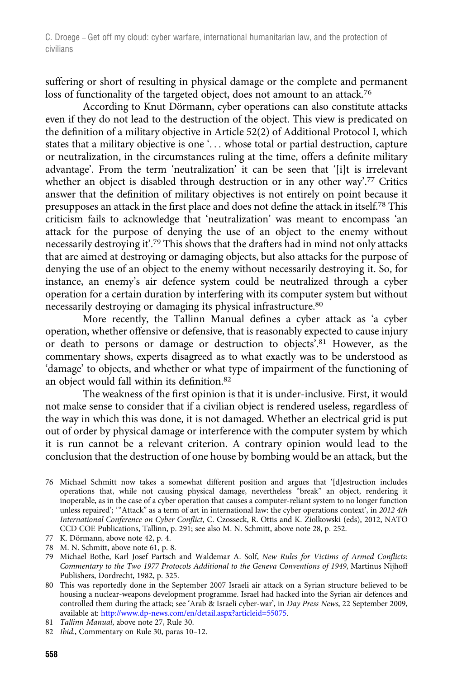C. Droege – Get off my cloud: cyber warfare, international humanitarian law, and the protection of civilians

suffering or short of resulting in physical damage or the complete and permanent loss of functionality of the targeted object, does not amount to an attack.<sup>76</sup>

According to Knut Dörmann, cyber operations can also constitute attacks even if they do not lead to the destruction of the object. This view is predicated on the definition of a military objective in Article 52(2) of Additional Protocol I, which states that a military objective is one '... whose total or partial destruction, capture or neutralization, in the circumstances ruling at the time, offers a definite military advantage'. From the term 'neutralization' it can be seen that '[i]t is irrelevant whether an object is disabled through destruction or in any other way'.<sup>77</sup> Critics answer that the definition of military objectives is not entirely on point because it presupposes an attack in the first place and does not define the attack in itself.78 This criticism fails to acknowledge that 'neutralization' was meant to encompass 'an attack for the purpose of denying the use of an object to the enemy without necessarily destroying it'.<sup>79</sup> This shows that the drafters had in mind not only attacks that are aimed at destroying or damaging objects, but also attacks for the purpose of denying the use of an object to the enemy without necessarily destroying it. So, for instance, an enemy's air defence system could be neutralized through a cyber operation for a certain duration by interfering with its computer system but without necessarily destroying or damaging its physical infrastructure.<sup>80</sup>

More recently, the Tallinn Manual defines a cyber attack as 'a cyber operation, whether offensive or defensive, that is reasonably expected to cause injury or death to persons or damage or destruction to objects'. <sup>81</sup> However, as the commentary shows, experts disagreed as to what exactly was to be understood as 'damage' to objects, and whether or what type of impairment of the functioning of an object would fall within its definition.82

The weakness of the first opinion is that it is under-inclusive. First, it would not make sense to consider that if a civilian object is rendered useless, regardless of the way in which this was done, it is not damaged. Whether an electrical grid is put out of order by physical damage or interference with the computer system by which it is run cannot be a relevant criterion. A contrary opinion would lead to the conclusion that the destruction of one house by bombing would be an attack, but the

- 77 K. Dörmann, above note 42, p. 4.
- 78 M. N. Schmitt, above note 61, p. 8.
- 79 Michael Bothe, Karl Josef Partsch and Waldemar A. Solf, New Rules for Victims of Armed Conflicts: Commentary to the Two 1977 Protocols Additional to the Geneva Conventions of 1949, Martinus Nijhoff Publishers, Dordrecht, 1982, p. 325.
- 80 This was reportedly done in the September 2007 Israeli air attack on a Syrian structure believed to be housing a nuclear-weapons development programme. Israel had hacked into the Syrian air defences and controlled them during the attack; see 'Arab & Israeli cyber-war', in Day Press News, 22 September 2009, available at: <http://www.dp-news.com/en/detail.aspx?articleid=55075>.
- 81 Tallinn Manual, above note 27, Rule 30.
- 82 Ibid., Commentary on Rule 30, paras 10–12.

<sup>76</sup> Michael Schmitt now takes a somewhat different position and argues that '[d]estruction includes operations that, while not causing physical damage, nevertheless "break" an object, rendering it inoperable, as in the case of a cyber operation that causes a computer-reliant system to no longer function unless repaired'; "Attack" as a term of art in international law: the cyber operations context', in 2012 4th International Conference on Cyber Conflict, C. Czosseck, R. Ottis and K. Ziolkowski (eds), 2012, NATO CCD COE Publications, Tallinn, p. 291; see also M. N. Schmitt, above note 28, p. 252.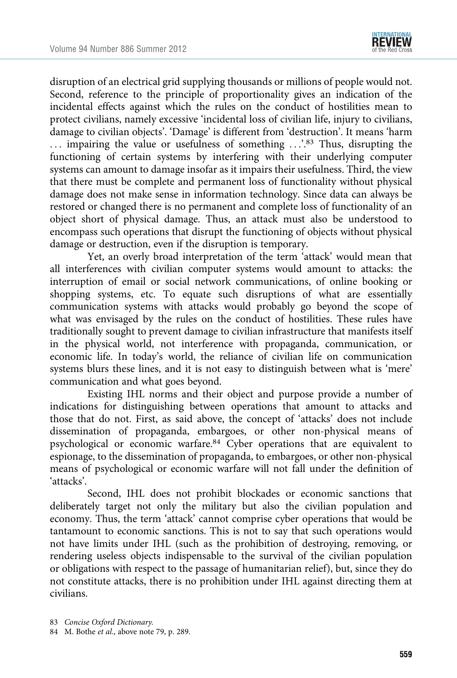disruption of an electrical grid supplying thousands or millions of people would not. Second, reference to the principle of proportionality gives an indication of the incidental effects against which the rules on the conduct of hostilities mean to protect civilians, namely excessive 'incidental loss of civilian life, injury to civilians, damage to civilian objects'. 'Damage' is different from 'destruction'. It means 'harm ... impairing the value or usefulness of something ...'.<sup>83</sup> Thus, disrupting the functioning of certain systems by interfering with their underlying computer systems can amount to damage insofar as it impairs their usefulness. Third, the view that there must be complete and permanent loss of functionality without physical damage does not make sense in information technology. Since data can always be restored or changed there is no permanent and complete loss of functionality of an object short of physical damage. Thus, an attack must also be understood to encompass such operations that disrupt the functioning of objects without physical damage or destruction, even if the disruption is temporary.

Yet, an overly broad interpretation of the term 'attack' would mean that all interferences with civilian computer systems would amount to attacks: the interruption of email or social network communications, of online booking or shopping systems, etc. To equate such disruptions of what are essentially communication systems with attacks would probably go beyond the scope of what was envisaged by the rules on the conduct of hostilities. These rules have traditionally sought to prevent damage to civilian infrastructure that manifests itself in the physical world, not interference with propaganda, communication, or economic life. In today's world, the reliance of civilian life on communication systems blurs these lines, and it is not easy to distinguish between what is 'mere' communication and what goes beyond.

Existing IHL norms and their object and purpose provide a number of indications for distinguishing between operations that amount to attacks and those that do not. First, as said above, the concept of 'attacks' does not include dissemination of propaganda, embargoes, or other non-physical means of psychological or economic warfare.<sup>84</sup> Cyber operations that are equivalent to espionage, to the dissemination of propaganda, to embargoes, or other non-physical means of psychological or economic warfare will not fall under the definition of 'attacks'.

Second, IHL does not prohibit blockades or economic sanctions that deliberately target not only the military but also the civilian population and economy. Thus, the term 'attack' cannot comprise cyber operations that would be tantamount to economic sanctions. This is not to say that such operations would not have limits under IHL (such as the prohibition of destroying, removing, or rendering useless objects indispensable to the survival of the civilian population or obligations with respect to the passage of humanitarian relief), but, since they do not constitute attacks, there is no prohibition under IHL against directing them at civilians.

<sup>83</sup> Concise Oxford Dictionary.

<sup>84</sup> M. Bothe et al., above note 79, p. 289.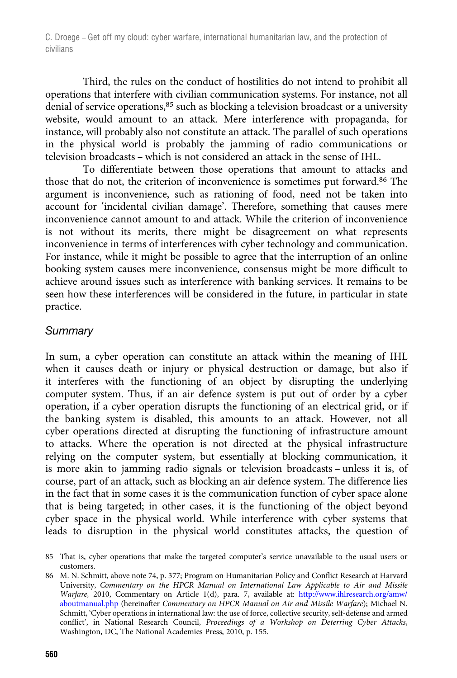C. Droege – Get off my cloud: cyber warfare, international humanitarian law, and the protection of civilians

Third, the rules on the conduct of hostilities do not intend to prohibit all operations that interfere with civilian communication systems. For instance, not all denial of service operations,<sup>85</sup> such as blocking a television broadcast or a university website, would amount to an attack. Mere interference with propaganda, for instance, will probably also not constitute an attack. The parallel of such operations in the physical world is probably the jamming of radio communications or television broadcasts – which is not considered an attack in the sense of IHL.

To differentiate between those operations that amount to attacks and those that do not, the criterion of inconvenience is sometimes put forward.<sup>86</sup> The argument is inconvenience, such as rationing of food, need not be taken into account for 'incidental civilian damage'. Therefore, something that causes mere inconvenience cannot amount to and attack. While the criterion of inconvenience is not without its merits, there might be disagreement on what represents inconvenience in terms of interferences with cyber technology and communication. For instance, while it might be possible to agree that the interruption of an online booking system causes mere inconvenience, consensus might be more difficult to achieve around issues such as interference with banking services. It remains to be seen how these interferences will be considered in the future, in particular in state practice.

#### **Summary**

In sum, a cyber operation can constitute an attack within the meaning of IHL when it causes death or injury or physical destruction or damage, but also if it interferes with the functioning of an object by disrupting the underlying computer system. Thus, if an air defence system is put out of order by a cyber operation, if a cyber operation disrupts the functioning of an electrical grid, or if the banking system is disabled, this amounts to an attack. However, not all cyber operations directed at disrupting the functioning of infrastructure amount to attacks. Where the operation is not directed at the physical infrastructure relying on the computer system, but essentially at blocking communication, it is more akin to jamming radio signals or television broadcasts – unless it is, of course, part of an attack, such as blocking an air defence system. The difference lies in the fact that in some cases it is the communication function of cyber space alone that is being targeted; in other cases, it is the functioning of the object beyond cyber space in the physical world. While interference with cyber systems that leads to disruption in the physical world constitutes attacks, the question of

<sup>85</sup> That is, cyber operations that make the targeted computer's service unavailable to the usual users or customers.

<sup>86</sup> M. N. Schmitt, above note 74, p. 377; Program on Humanitarian Policy and Conflict Research at Harvard University, Commentary on the HPCR Manual on International Law Applicable to Air and Missile Warfare, 2010, Commentary on Article 1(d), para. 7, available at: [http://www.ihlresearch.org/amw/](http://www.ihlresearch.org/amw/aboutmanual.php) [aboutmanual.php](http://www.ihlresearch.org/amw/aboutmanual.php) (hereinafter Commentary on HPCR Manual on Air and Missile Warfare); Michael N. Schmitt, 'Cyber operations in international law: the use of force, collective security, self-defense and armed conflict', in National Research Council, Proceedings of a Workshop on Deterring Cyber Attacks, Washington, DC, The National Academies Press, 2010, p. 155.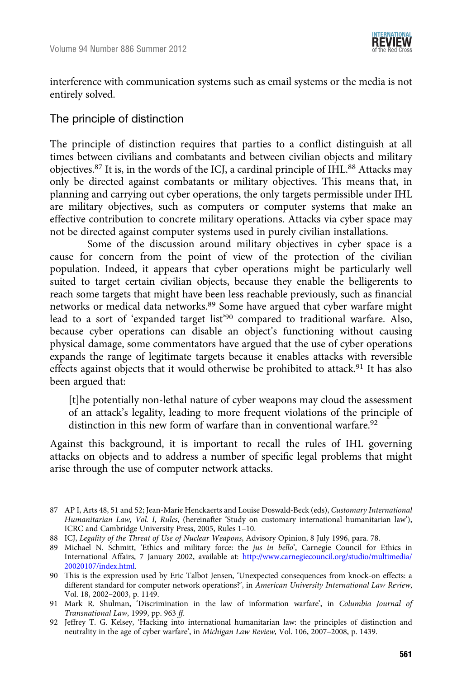

interference with communication systems such as email systems or the media is not entirely solved.

#### The principle of distinction

The principle of distinction requires that parties to a conflict distinguish at all times between civilians and combatants and between civilian objects and military objectives.<sup>87</sup> It is, in the words of the ICJ, a cardinal principle of IHL.88 Attacks may only be directed against combatants or military objectives. This means that, in planning and carrying out cyber operations, the only targets permissible under IHL are military objectives, such as computers or computer systems that make an effective contribution to concrete military operations. Attacks via cyber space may not be directed against computer systems used in purely civilian installations.

Some of the discussion around military objectives in cyber space is a cause for concern from the point of view of the protection of the civilian population. Indeed, it appears that cyber operations might be particularly well suited to target certain civilian objects, because they enable the belligerents to reach some targets that might have been less reachable previously, such as financial networks or medical data networks.<sup>89</sup> Some have argued that cyber warfare might lead to a sort of 'expanded target list' <sup>90</sup> compared to traditional warfare. Also, because cyber operations can disable an object's functioning without causing physical damage, some commentators have argued that the use of cyber operations expands the range of legitimate targets because it enables attacks with reversible effects against objects that it would otherwise be prohibited to attack.<sup>91</sup> It has also been argued that:

[t]he potentially non-lethal nature of cyber weapons may cloud the assessment of an attack's legality, leading to more frequent violations of the principle of distinction in this new form of warfare than in conventional warfare.<sup>92</sup>

Against this background, it is important to recall the rules of IHL governing attacks on objects and to address a number of specific legal problems that might arise through the use of computer network attacks.

- 87 AP I, Arts 48, 51 and 52; Jean-Marie Henckaerts and Louise Doswald-Beck (eds), Customary International Humanitarian Law, Vol. I, Rules, (hereinafter 'Study on customary international humanitarian law'), ICRC and Cambridge University Press, 2005, Rules 1–10.
- 88 ICJ, Legality of the Threat of Use of Nuclear Weapons, Advisory Opinion, 8 July 1996, para. 78.
- 89 Michael N. Schmitt, 'Ethics and military force: the jus in bello', Carnegie Council for Ethics in International Affairs, 7 January 2002, available at: [http://www.carnegiecouncil.org/studio/multimedia/](http://www.carnegiecouncil.org/studio/multimedia/20020107/index.html) [20020107/index.html](http://www.carnegiecouncil.org/studio/multimedia/20020107/index.html).
- 90 This is the expression used by Eric Talbot Jensen, 'Unexpected consequences from knock-on effects: a different standard for computer network operations?', in American University International Law Review, Vol. 18, 2002–2003, p. 1149.
- 91 Mark R. Shulman, 'Discrimination in the law of information warfare', in Columbia Journal of Transnational Law, 1999, pp. 963 ff.
- 92 Jeffrey T. G. Kelsey, 'Hacking into international humanitarian law: the principles of distinction and neutrality in the age of cyber warfare', in Michigan Law Review, Vol. 106, 2007–2008, p. 1439.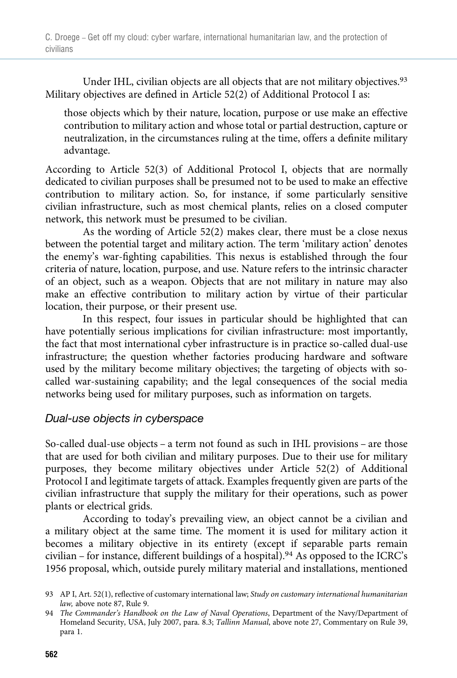C. Droege – Get off my cloud: cyber warfare, international humanitarian law, and the protection of civilians

Under IHL, civilian objects are all objects that are not military objectives.<sup>93</sup> Military objectives are defined in Article 52(2) of Additional Protocol I as:

those objects which by their nature, location, purpose or use make an effective contribution to military action and whose total or partial destruction, capture or neutralization, in the circumstances ruling at the time, offers a definite military advantage.

According to Article 52(3) of Additional Protocol I, objects that are normally dedicated to civilian purposes shall be presumed not to be used to make an effective contribution to military action. So, for instance, if some particularly sensitive civilian infrastructure, such as most chemical plants, relies on a closed computer network, this network must be presumed to be civilian.

As the wording of Article 52(2) makes clear, there must be a close nexus between the potential target and military action. The term 'military action' denotes the enemy's war-fighting capabilities. This nexus is established through the four criteria of nature, location, purpose, and use. Nature refers to the intrinsic character of an object, such as a weapon. Objects that are not military in nature may also make an effective contribution to military action by virtue of their particular location, their purpose, or their present use.

In this respect, four issues in particular should be highlighted that can have potentially serious implications for civilian infrastructure: most importantly, the fact that most international cyber infrastructure is in practice so-called dual-use infrastructure; the question whether factories producing hardware and software used by the military become military objectives; the targeting of objects with socalled war-sustaining capability; and the legal consequences of the social media networks being used for military purposes, such as information on targets.

## Dual-use objects in cyberspace

So-called dual-use objects – a term not found as such in IHL provisions – are those that are used for both civilian and military purposes. Due to their use for military purposes, they become military objectives under Article 52(2) of Additional Protocol I and legitimate targets of attack. Examples frequently given are parts of the civilian infrastructure that supply the military for their operations, such as power plants or electrical grids.

According to today's prevailing view, an object cannot be a civilian and a military object at the same time. The moment it is used for military action it becomes a military objective in its entirety (except if separable parts remain civilian – for instance, different buildings of a hospital).94 As opposed to the ICRC's 1956 proposal, which, outside purely military material and installations, mentioned

<sup>93</sup> AP I, Art. 52(1), reflective of customary international law; Study on customary international humanitarian law, above note 87, Rule 9.

<sup>94</sup> The Commander's Handbook on the Law of Naval Operations, Department of the Navy/Department of Homeland Security, USA, July 2007, para. 8.3; Tallinn Manual, above note 27, Commentary on Rule 39, para 1.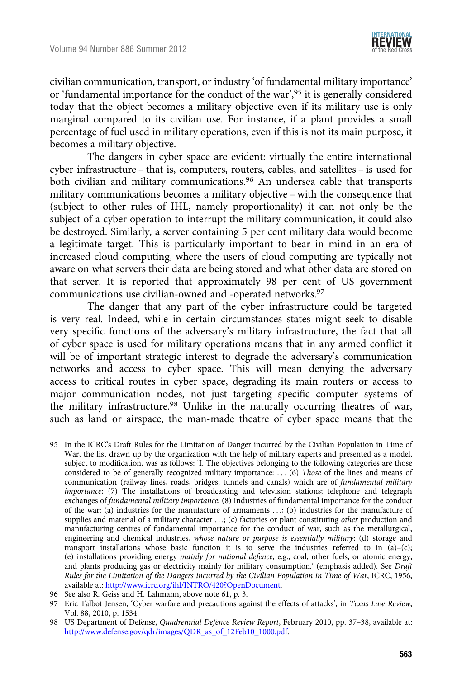civilian communication, transport, or industry 'of fundamental military importance' or 'fundamental importance for the conduct of the war', <sup>95</sup> it is generally considered today that the object becomes a military objective even if its military use is only marginal compared to its civilian use. For instance, if a plant provides a small percentage of fuel used in military operations, even if this is not its main purpose, it becomes a military objective.

The dangers in cyber space are evident: virtually the entire international cyber infrastructure – that is, computers, routers, cables, and satellites – is used for both civilian and military communications.<sup>96</sup> An undersea cable that transports military communications becomes a military objective – with the consequence that (subject to other rules of IHL, namely proportionality) it can not only be the subject of a cyber operation to interrupt the military communication, it could also be destroyed. Similarly, a server containing 5 per cent military data would become a legitimate target. This is particularly important to bear in mind in an era of increased cloud computing, where the users of cloud computing are typically not aware on what servers their data are being stored and what other data are stored on that server. It is reported that approximately 98 per cent of US government communications use civilian-owned and -operated networks.97

The danger that any part of the cyber infrastructure could be targeted is very real. Indeed, while in certain circumstances states might seek to disable very specific functions of the adversary's military infrastructure, the fact that all of cyber space is used for military operations means that in any armed conflict it will be of important strategic interest to degrade the adversary's communication networks and access to cyber space. This will mean denying the adversary access to critical routes in cyber space, degrading its main routers or access to major communication nodes, not just targeting specific computer systems of the military infrastructure.98 Unlike in the naturally occurring theatres of war, such as land or airspace, the man-made theatre of cyber space means that the

- 95 In the ICRC's Draft Rules for the Limitation of Danger incurred by the Civilian Population in Time of War, the list drawn up by the organization with the help of military experts and presented as a model, subject to modification, was as follows: 'I. The objectives belonging to the following categories are those considered to be of generally recognized military importance: ... (6) Those of the lines and means of communication (railway lines, roads, bridges, tunnels and canals) which are of fundamental military importance; (7) The installations of broadcasting and television stations; telephone and telegraph exchanges of fundamental military importance; (8) Industries of fundamental importance for the conduct of the war: (a) industries for the manufacture of armaments ...; (b) industries for the manufacture of supplies and material of a military character ...; (c) factories or plant constituting other production and manufacturing centres of fundamental importance for the conduct of war, such as the metallurgical, engineering and chemical industries, whose nature or purpose is essentially military; (d) storage and transport installations whose basic function it is to serve the industries referred to in  $(a)-(c)$ ; (e) installations providing energy mainly for national defence, e.g., coal, other fuels, or atomic energy, and plants producing gas or electricity mainly for military consumption.' (emphasis added). See Draft Rules for the Limitation of the Dangers incurred by the Civilian Population in Time of War, ICRC, 1956, available at: <http://www.icrc.org/ihl/INTRO/420?OpenDocument>.
- 96 See also R. Geiss and H. Lahmann, above note 61, p. 3.
- 97 Eric Talbot Jensen, 'Cyber warfare and precautions against the effects of attacks', in Texas Law Review, Vol. 88, 2010, p. 1534.
- 98 US Department of Defense, Quadrennial Defence Review Report, February 2010, pp. 37–38, available at: [http://www.defense.gov/qdr/images/QDR\\_as\\_of\\_12Feb10\\_1000.pdf](http://www.defense.gov/qdr/images/QDR_as_of_12Feb10_1000.pdf).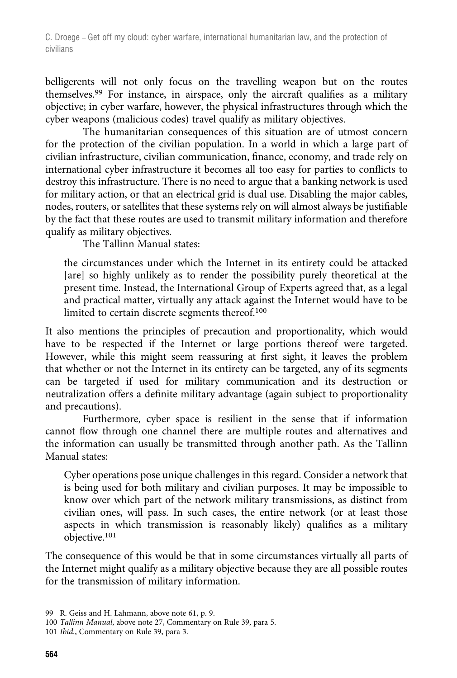belligerents will not only focus on the travelling weapon but on the routes themselves.<sup>99</sup> For instance, in airspace, only the aircraft qualifies as a military objective; in cyber warfare, however, the physical infrastructures through which the cyber weapons (malicious codes) travel qualify as military objectives.

The humanitarian consequences of this situation are of utmost concern for the protection of the civilian population. In a world in which a large part of civilian infrastructure, civilian communication, finance, economy, and trade rely on international cyber infrastructure it becomes all too easy for parties to conflicts to destroy this infrastructure. There is no need to argue that a banking network is used for military action, or that an electrical grid is dual use. Disabling the major cables, nodes, routers, or satellites that these systems rely on will almost always be justifiable by the fact that these routes are used to transmit military information and therefore qualify as military objectives.

The Tallinn Manual states:

the circumstances under which the Internet in its entirety could be attacked [are] so highly unlikely as to render the possibility purely theoretical at the present time. Instead, the International Group of Experts agreed that, as a legal and practical matter, virtually any attack against the Internet would have to be limited to certain discrete segments thereof.100

It also mentions the principles of precaution and proportionality, which would have to be respected if the Internet or large portions thereof were targeted. However, while this might seem reassuring at first sight, it leaves the problem that whether or not the Internet in its entirety can be targeted, any of its segments can be targeted if used for military communication and its destruction or neutralization offers a definite military advantage (again subject to proportionality and precautions).

Furthermore, cyber space is resilient in the sense that if information cannot flow through one channel there are multiple routes and alternatives and the information can usually be transmitted through another path. As the Tallinn Manual states:

Cyber operations pose unique challenges in this regard. Consider a network that is being used for both military and civilian purposes. It may be impossible to know over which part of the network military transmissions, as distinct from civilian ones, will pass. In such cases, the entire network (or at least those aspects in which transmission is reasonably likely) qualifies as a military objective.101

The consequence of this would be that in some circumstances virtually all parts of the Internet might qualify as a military objective because they are all possible routes for the transmission of military information.

<sup>99</sup> R. Geiss and H. Lahmann, above note 61, p. 9.

<sup>100</sup> Tallinn Manual, above note 27, Commentary on Rule 39, para 5.

<sup>101</sup> Ibid., Commentary on Rule 39, para 3.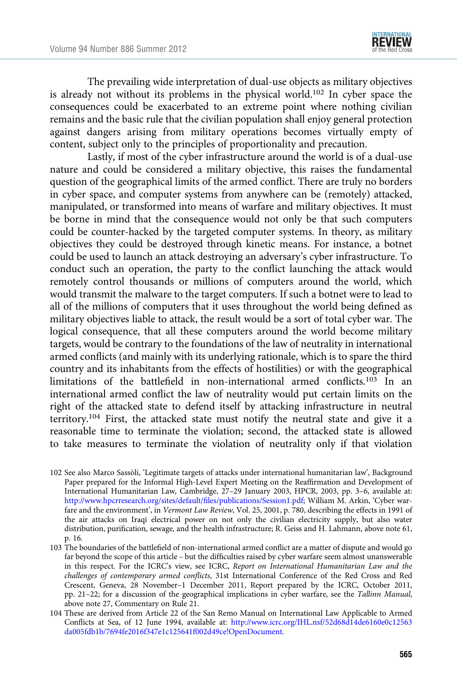

The prevailing wide interpretation of dual-use objects as military objectives is already not without its problems in the physical world.102 In cyber space the consequences could be exacerbated to an extreme point where nothing civilian remains and the basic rule that the civilian population shall enjoy general protection against dangers arising from military operations becomes virtually empty of content, subject only to the principles of proportionality and precaution.

Lastly, if most of the cyber infrastructure around the world is of a dual-use nature and could be considered a military objective, this raises the fundamental question of the geographical limits of the armed conflict. There are truly no borders in cyber space, and computer systems from anywhere can be (remotely) attacked, manipulated, or transformed into means of warfare and military objectives. It must be borne in mind that the consequence would not only be that such computers could be counter-hacked by the targeted computer systems. In theory, as military objectives they could be destroyed through kinetic means. For instance, a botnet could be used to launch an attack destroying an adversary's cyber infrastructure. To conduct such an operation, the party to the conflict launching the attack would remotely control thousands or millions of computers around the world, which would transmit the malware to the target computers. If such a botnet were to lead to all of the millions of computers that it uses throughout the world being defined as military objectives liable to attack, the result would be a sort of total cyber war. The logical consequence, that all these computers around the world become military targets, would be contrary to the foundations of the law of neutrality in international armed conflicts (and mainly with its underlying rationale, which is to spare the third country and its inhabitants from the effects of hostilities) or with the geographical limitations of the battlefield in non-international armed conflicts.103 In an international armed conflict the law of neutrality would put certain limits on the right of the attacked state to defend itself by attacking infrastructure in neutral territory.<sup>104</sup> First, the attacked state must notify the neutral state and give it a reasonable time to terminate the violation; second, the attacked state is allowed to take measures to terminate the violation of neutrality only if that violation

- 102 See also Marco Sassòli, 'Legitimate targets of attacks under international humanitarian law', Background Paper prepared for the Informal High-Level Expert Meeting on the Reaffirmation and Development of International Humanitarian Law, Cambridge, 27–29 January 2003, HPCR, 2003, pp. 3–6, available at: [http://www.hpcrresearch.org/sites/default/](http://www.hpcrresearch.org/sites/default/files/publications/Session1.pdf;)files/publications/Session1.pdf; William M. Arkin, 'Cyber warfare and the environment', in Vermont Law Review, Vol. 25, 2001, p. 780, describing the effects in 1991 of the air attacks on Iraqi electrical power on not only the civilian electricity supply, but also water distribution, purification, sewage, and the health infrastructure; R. Geiss and H. Lahmann, above note 61, p. 16.
- 103 The boundaries of the battlefield of non-international armed conflict are a matter of dispute and would go far beyond the scope of this article – but the difficulties raised by cyber warfare seem almost unanswerable in this respect. For the ICRC's view, see ICRC, Report on International Humanitarian Law and the challenges of contemporary armed conflicts, 31st International Conference of the Red Cross and Red Crescent, Geneva, 28 November–1 December 2011, Report prepared by the ICRC, October 2011, pp. 21–22; for a discussion of the geographical implications in cyber warfare, see the Tallinn Manual, above note 27, Commentary on Rule 21.
- 104 These are derived from Article 22 of the San Remo Manual on International Law Applicable to Armed Conflicts at Sea, of 12 June 1994, available at: [http://www.icrc.org/IHL.nsf/52d68d14de6160e0c12563](http://www.icrc.org/IHL.nsf/52d68d14de6160e0c12563da005fdb1b/7694fe2016f347e1c125641f002d49ce!OpenDocument) [da005fdb1b/7694fe2016f347e1c125641f002d49ce!OpenDocument](http://www.icrc.org/IHL.nsf/52d68d14de6160e0c12563da005fdb1b/7694fe2016f347e1c125641f002d49ce!OpenDocument).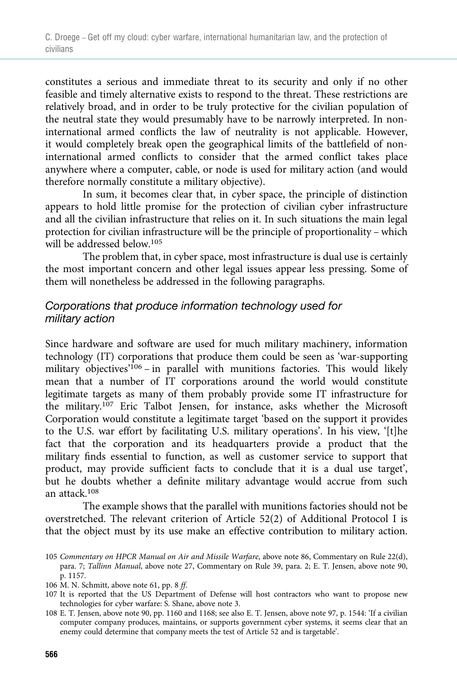constitutes a serious and immediate threat to its security and only if no other feasible and timely alternative exists to respond to the threat. These restrictions are relatively broad, and in order to be truly protective for the civilian population of the neutral state they would presumably have to be narrowly interpreted. In noninternational armed conflicts the law of neutrality is not applicable. However, it would completely break open the geographical limits of the battlefield of noninternational armed conflicts to consider that the armed conflict takes place anywhere where a computer, cable, or node is used for military action (and would therefore normally constitute a military objective).

In sum, it becomes clear that, in cyber space, the principle of distinction appears to hold little promise for the protection of civilian cyber infrastructure and all the civilian infrastructure that relies on it. In such situations the main legal protection for civilian infrastructure will be the principle of proportionality – which will be addressed below.<sup>105</sup>

The problem that, in cyber space, most infrastructure is dual use is certainly the most important concern and other legal issues appear less pressing. Some of them will nonetheless be addressed in the following paragraphs.

## Corporations that produce information technology used for military action

Since hardware and software are used for much military machinery, information technology (IT) corporations that produce them could be seen as 'war-supporting military objectives' <sup>106</sup> – in parallel with munitions factories. This would likely mean that a number of IT corporations around the world would constitute legitimate targets as many of them probably provide some IT infrastructure for the military.<sup>107</sup> Eric Talbot Jensen, for instance, asks whether the Microsoft Corporation would constitute a legitimate target 'based on the support it provides to the U.S. war effort by facilitating U.S. military operations'. In his view, '[t]he fact that the corporation and its headquarters provide a product that the military finds essential to function, as well as customer service to support that product, may provide sufficient facts to conclude that it is a dual use target', but he doubts whether a definite military advantage would accrue from such an attack.<sup>108</sup>

The example shows that the parallel with munitions factories should not be overstretched. The relevant criterion of Article 52(2) of Additional Protocol I is that the object must by its use make an effective contribution to military action.

<sup>105</sup> Commentary on HPCR Manual on Air and Missile Warfare, above note 86, Commentary on Rule 22(d), para. 7; Tallinn Manual, above note 27, Commentary on Rule 39, para. 2; E. T. Jensen, above note 90, p. 1157.

<sup>106</sup> M. N. Schmitt, above note 61, pp. 8 ff.

<sup>107</sup> It is reported that the US Department of Defense will host contractors who want to propose new technologies for cyber warfare: S. Shane, above note 3.

<sup>108</sup> E. T. Jensen, above note 90, pp. 1160 and 1168; see also E. T. Jensen, above note 97, p. 1544: 'If a civilian computer company produces, maintains, or supports government cyber systems, it seems clear that an enemy could determine that company meets the test of Article 52 and is targetable'.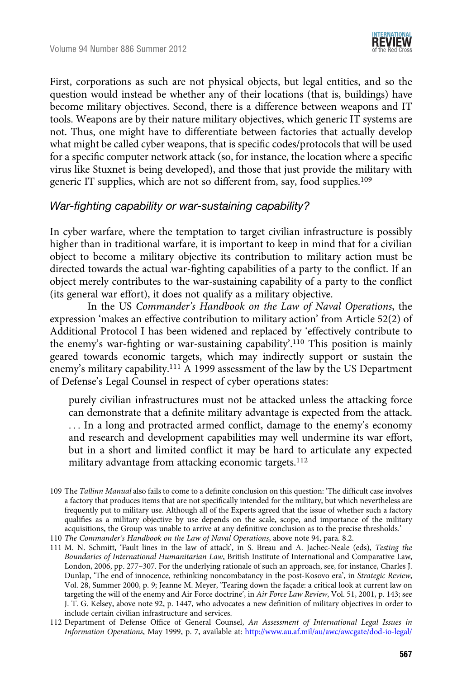

First, corporations as such are not physical objects, but legal entities, and so the question would instead be whether any of their locations (that is, buildings) have become military objectives. Second, there is a difference between weapons and IT tools. Weapons are by their nature military objectives, which generic IT systems are not. Thus, one might have to differentiate between factories that actually develop what might be called cyber weapons, that is specific codes/protocols that will be used for a specific computer network attack (so, for instance, the location where a specific virus like Stuxnet is being developed), and those that just provide the military with generic IT supplies, which are not so different from, say, food supplies.<sup>109</sup>

#### War-fighting capability or war-sustaining capability?

In cyber warfare, where the temptation to target civilian infrastructure is possibly higher than in traditional warfare, it is important to keep in mind that for a civilian object to become a military objective its contribution to military action must be directed towards the actual war-fighting capabilities of a party to the conflict. If an object merely contributes to the war-sustaining capability of a party to the conflict (its general war effort), it does not qualify as a military objective.

In the US Commander's Handbook on the Law of Naval Operations, the expression 'makes an effective contribution to military action' from Article 52(2) of Additional Protocol I has been widened and replaced by 'effectively contribute to the enemy's war-fighting or war-sustaining capability'.<sup>110</sup> This position is mainly geared towards economic targets, which may indirectly support or sustain the enemy's military capability.<sup>111</sup> A 1999 assessment of the law by the US Department of Defense's Legal Counsel in respect of cyber operations states:

purely civilian infrastructures must not be attacked unless the attacking force can demonstrate that a definite military advantage is expected from the attack. ... In a long and protracted armed conflict, damage to the enemy's economy and research and development capabilities may well undermine its war effort, but in a short and limited conflict it may be hard to articulate any expected military advantage from attacking economic targets.<sup>112</sup>

109 The Tallinn Manual also fails to come to a definite conclusion on this question: 'The difficult case involves a factory that produces items that are not specifically intended for the military, but which nevertheless are frequently put to military use. Although all of the Experts agreed that the issue of whether such a factory qualifies as a military objective by use depends on the scale, scope, and importance of the military acquisitions, the Group was unable to arrive at any definitive conclusion as to the precise thresholds.'

- 111 M. N. Schmitt, 'Fault lines in the law of attack', in S. Breau and A. Jachec-Neale (eds), Testing the Boundaries of International Humanitarian Law, British Institute of International and Comparative Law, London, 2006, pp. 277–307. For the underlying rationale of such an approach, see, for instance, Charles J. Dunlap, 'The end of innocence, rethinking noncombatancy in the post-Kosovo era', in Strategic Review, Vol. 28, Summer 2000, p. 9; Jeanne M. Meyer, 'Tearing down the façade: a critical look at current law on targeting the will of the enemy and Air Force doctrine', in Air Force Law Review, Vol. 51, 2001, p. 143; see J. T. G. Kelsey, above note 92, p. 1447, who advocates a new definition of military objectives in order to include certain civilian infrastructure and services.
- 112 Department of Defense Office of General Counsel, An Assessment of International Legal Issues in Information Operations, May 1999, p. 7, available at: [http://www.au.af.mil/au/awc/awcgate/dod-io-legal/](http://www.au.af.mil/au/awc/awcgate/dod-io-legal/dod-io-legal.pdf)

<sup>110</sup> The Commander's Handbook on the Law of Naval Operations, above note 94, para. 8.2.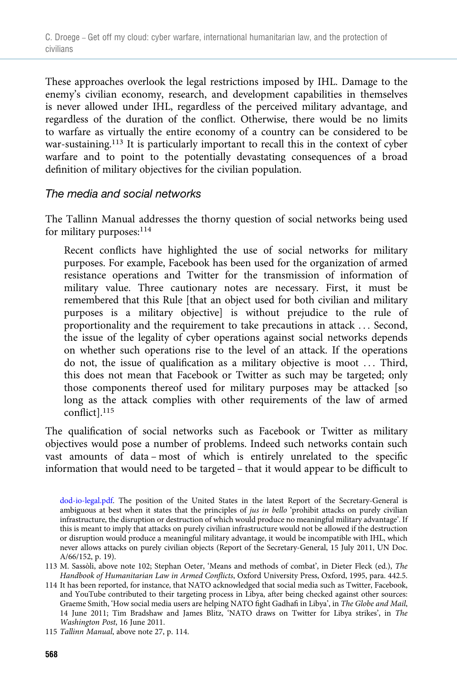These approaches overlook the legal restrictions imposed by IHL. Damage to the enemy's civilian economy, research, and development capabilities in themselves is never allowed under IHL, regardless of the perceived military advantage, and regardless of the duration of the conflict. Otherwise, there would be no limits to warfare as virtually the entire economy of a country can be considered to be war-sustaining.<sup>113</sup> It is particularly important to recall this in the context of cyber warfare and to point to the potentially devastating consequences of a broad definition of military objectives for the civilian population.

## The media and social networks

The Tallinn Manual addresses the thorny question of social networks being used for military purposes:<sup>114</sup>

Recent conflicts have highlighted the use of social networks for military purposes. For example, Facebook has been used for the organization of armed resistance operations and Twitter for the transmission of information of military value. Three cautionary notes are necessary. First, it must be remembered that this Rule [that an object used for both civilian and military purposes is a military objective] is without prejudice to the rule of proportionality and the requirement to take precautions in attack ... Second, the issue of the legality of cyber operations against social networks depends on whether such operations rise to the level of an attack. If the operations do not, the issue of qualification as a military objective is moot ... Third, this does not mean that Facebook or Twitter as such may be targeted; only those components thereof used for military purposes may be attacked [so long as the attack complies with other requirements of the law of armed conflict].115

The qualification of social networks such as Facebook or Twitter as military objectives would pose a number of problems. Indeed such networks contain such vast amounts of data – most of which is entirely unrelated to the specific information that would need to be targeted – that it would appear to be difficult to

[dod-io-legal.pdf](http://www.au.af.mil/au/awc/awcgate/dod-io-legal/dod-io-legal.pdf). The position of the United States in the latest Report of the Secretary-General is ambiguous at best when it states that the principles of jus in bello 'prohibit attacks on purely civilian infrastructure, the disruption or destruction of which would produce no meaningful military advantage'. If this is meant to imply that attacks on purely civilian infrastructure would not be allowed if the destruction or disruption would produce a meaningful military advantage, it would be incompatible with IHL, which never allows attacks on purely civilian objects (Report of the Secretary-General, 15 July 2011, UN Doc. A/66/152, p. 19).

<sup>113</sup> M. Sassòli, above note 102; Stephan Oeter, 'Means and methods of combat', in Dieter Fleck (ed.), The Handbook of Humanitarian Law in Armed Conflicts, Oxford University Press, Oxford, 1995, para. 442.5.

<sup>114</sup> It has been reported, for instance, that NATO acknowledged that social media such as Twitter, Facebook, and YouTube contributed to their targeting process in Libya, after being checked against other sources: Graeme Smith, 'How social media users are helping NATO fight Gadhafi in Libya', in The Globe and Mail, 14 June 2011; Tim Bradshaw and James Blitz, 'NATO draws on Twitter for Libya strikes', in The Washington Post, 16 June 2011.

<sup>115</sup> Tallinn Manual, above note 27, p. 114.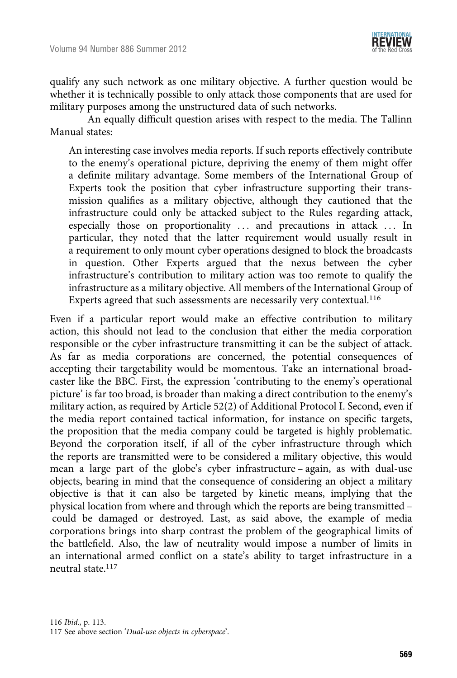qualify any such network as one military objective. A further question would be whether it is technically possible to only attack those components that are used for military purposes among the unstructured data of such networks.

An equally difficult question arises with respect to the media. The Tallinn Manual states:

An interesting case involves media reports. If such reports effectively contribute to the enemy's operational picture, depriving the enemy of them might offer a definite military advantage. Some members of the International Group of Experts took the position that cyber infrastructure supporting their transmission qualifies as a military objective, although they cautioned that the infrastructure could only be attacked subject to the Rules regarding attack, especially those on proportionality ... and precautions in attack ... In particular, they noted that the latter requirement would usually result in a requirement to only mount cyber operations designed to block the broadcasts in question. Other Experts argued that the nexus between the cyber infrastructure's contribution to military action was too remote to qualify the infrastructure as a military objective. All members of the International Group of Experts agreed that such assessments are necessarily very contextual.<sup>116</sup>

Even if a particular report would make an effective contribution to military action, this should not lead to the conclusion that either the media corporation responsible or the cyber infrastructure transmitting it can be the subject of attack. As far as media corporations are concerned, the potential consequences of accepting their targetability would be momentous. Take an international broadcaster like the BBC. First, the expression 'contributing to the enemy's operational picture' is far too broad, is broader than making a direct contribution to the enemy's military action, as required by Article 52(2) of Additional Protocol I. Second, even if the media report contained tactical information, for instance on specific targets, the proposition that the media company could be targeted is highly problematic. Beyond the corporation itself, if all of the cyber infrastructure through which the reports are transmitted were to be considered a military objective, this would mean a large part of the globe's cyber infrastructure – again, as with dual-use objects, bearing in mind that the consequence of considering an object a military objective is that it can also be targeted by kinetic means, implying that the physical location from where and through which the reports are being transmitted – could be damaged or destroyed. Last, as said above, the example of media corporations brings into sharp contrast the problem of the geographical limits of the battlefield. Also, the law of neutrality would impose a number of limits in an international armed conflict on a state's ability to target infrastructure in a neutral state.117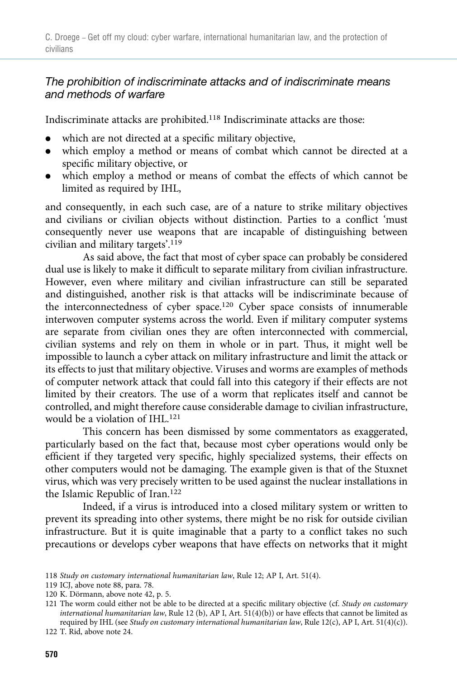## The prohibition of indiscriminate attacks and of indiscriminate means and methods of warfare

Indiscriminate attacks are prohibited.118 Indiscriminate attacks are those:

- . which are not directed at a specific military objective,
- . which employ a method or means of combat which cannot be directed at a specific military objective, or
- . which employ a method or means of combat the effects of which cannot be limited as required by IHL,

and consequently, in each such case, are of a nature to strike military objectives and civilians or civilian objects without distinction. Parties to a conflict 'must consequently never use weapons that are incapable of distinguishing between civilian and military targets'. 119

As said above, the fact that most of cyber space can probably be considered dual use is likely to make it difficult to separate military from civilian infrastructure. However, even where military and civilian infrastructure can still be separated and distinguished, another risk is that attacks will be indiscriminate because of the interconnectedness of cyber space.<sup>120</sup> Cyber space consists of innumerable interwoven computer systems across the world. Even if military computer systems are separate from civilian ones they are often interconnected with commercial, civilian systems and rely on them in whole or in part. Thus, it might well be impossible to launch a cyber attack on military infrastructure and limit the attack or its effects to just that military objective. Viruses and worms are examples of methods of computer network attack that could fall into this category if their effects are not limited by their creators. The use of a worm that replicates itself and cannot be controlled, and might therefore cause considerable damage to civilian infrastructure, would be a violation of IHL.121

This concern has been dismissed by some commentators as exaggerated, particularly based on the fact that, because most cyber operations would only be efficient if they targeted very specific, highly specialized systems, their effects on other computers would not be damaging. The example given is that of the Stuxnet virus, which was very precisely written to be used against the nuclear installations in the Islamic Republic of Iran.122

Indeed, if a virus is introduced into a closed military system or written to prevent its spreading into other systems, there might be no risk for outside civilian infrastructure. But it is quite imaginable that a party to a conflict takes no such precautions or develops cyber weapons that have effects on networks that it might

122 T. Rid, above note 24.

<sup>118</sup> Study on customary international humanitarian law, Rule 12; AP I, Art. 51(4).

<sup>119</sup> ICJ, above note 88, para. 78.

<sup>120</sup> K. Dörmann, above note 42, p. 5.

<sup>121</sup> The worm could either not be able to be directed at a specific military objective (cf. Study on customary international humanitarian law, Rule 12 (b), AP I, Art. 51(4)(b)) or have effects that cannot be limited as required by IHL (see Study on customary international humanitarian law, Rule 12(c), AP I, Art. 51(4)(c)).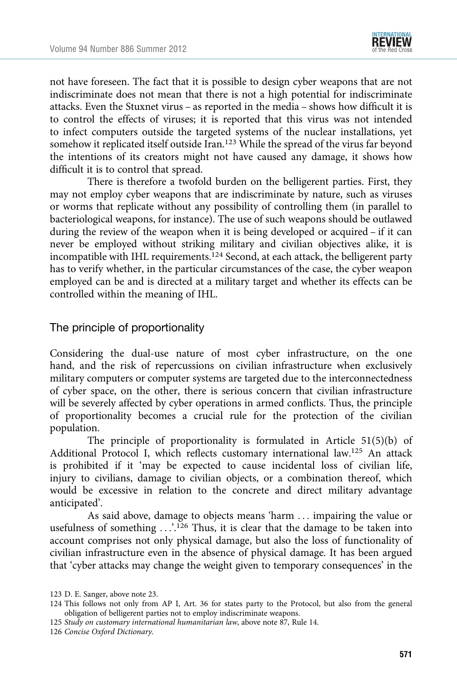

not have foreseen. The fact that it is possible to design cyber weapons that are not indiscriminate does not mean that there is not a high potential for indiscriminate attacks. Even the Stuxnet virus – as reported in the media – shows how difficult it is to control the effects of viruses; it is reported that this virus was not intended to infect computers outside the targeted systems of the nuclear installations, yet somehow it replicated itself outside Iran.123 While the spread of the virus far beyond the intentions of its creators might not have caused any damage, it shows how difficult it is to control that spread.

There is therefore a twofold burden on the belligerent parties. First, they may not employ cyber weapons that are indiscriminate by nature, such as viruses or worms that replicate without any possibility of controlling them (in parallel to bacteriological weapons, for instance). The use of such weapons should be outlawed during the review of the weapon when it is being developed or acquired – if it can never be employed without striking military and civilian objectives alike, it is incompatible with IHL requirements.124 Second, at each attack, the belligerent party has to verify whether, in the particular circumstances of the case, the cyber weapon employed can be and is directed at a military target and whether its effects can be controlled within the meaning of IHL.

The principle of proportionality

Considering the dual-use nature of most cyber infrastructure, on the one hand, and the risk of repercussions on civilian infrastructure when exclusively military computers or computer systems are targeted due to the interconnectedness of cyber space, on the other, there is serious concern that civilian infrastructure will be severely affected by cyber operations in armed conflicts. Thus, the principle of proportionality becomes a crucial rule for the protection of the civilian population.

The principle of proportionality is formulated in Article 51(5)(b) of Additional Protocol I, which reflects customary international law.125 An attack is prohibited if it 'may be expected to cause incidental loss of civilian life, injury to civilians, damage to civilian objects, or a combination thereof, which would be excessive in relation to the concrete and direct military advantage anticipated'.

As said above, damage to objects means 'harm ... impairing the value or usefulness of something ...'.<sup>126</sup> Thus, it is clear that the damage to be taken into account comprises not only physical damage, but also the loss of functionality of civilian infrastructure even in the absence of physical damage. It has been argued that 'cyber attacks may change the weight given to temporary consequences' in the

<sup>123</sup> D. E. Sanger, above note 23.

<sup>124</sup> This follows not only from AP I, Art. 36 for states party to the Protocol, but also from the general obligation of belligerent parties not to employ indiscriminate weapons.

<sup>125</sup> Study on customary international humanitarian law, above note 87, Rule 14.

<sup>126</sup> Concise Oxford Dictionary.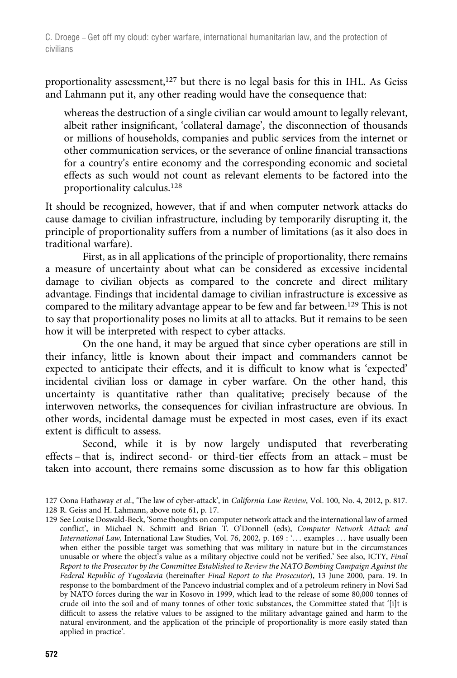proportionality assessment,<sup>127</sup> but there is no legal basis for this in IHL. As Geiss and Lahmann put it, any other reading would have the consequence that:

whereas the destruction of a single civilian car would amount to legally relevant, albeit rather insignificant, 'collateral damage', the disconnection of thousands or millions of households, companies and public services from the internet or other communication services, or the severance of online financial transactions for a country's entire economy and the corresponding economic and societal effects as such would not count as relevant elements to be factored into the proportionality calculus.128

It should be recognized, however, that if and when computer network attacks do cause damage to civilian infrastructure, including by temporarily disrupting it, the principle of proportionality suffers from a number of limitations (as it also does in traditional warfare).

First, as in all applications of the principle of proportionality, there remains a measure of uncertainty about what can be considered as excessive incidental damage to civilian objects as compared to the concrete and direct military advantage. Findings that incidental damage to civilian infrastructure is excessive as compared to the military advantage appear to be few and far between.129 This is not to say that proportionality poses no limits at all to attacks. But it remains to be seen how it will be interpreted with respect to cyber attacks.

On the one hand, it may be argued that since cyber operations are still in their infancy, little is known about their impact and commanders cannot be expected to anticipate their effects, and it is difficult to know what is 'expected' incidental civilian loss or damage in cyber warfare. On the other hand, this uncertainty is quantitative rather than qualitative; precisely because of the interwoven networks, the consequences for civilian infrastructure are obvious. In other words, incidental damage must be expected in most cases, even if its exact extent is difficult to assess.

Second, while it is by now largely undisputed that reverberating effects – that is, indirect second- or third-tier effects from an attack – must be taken into account, there remains some discussion as to how far this obligation

<sup>127</sup> Oona Hathaway et al., 'The law of cyber-attack', in California Law Review, Vol. 100, No. 4, 2012, p. 817.

<sup>128</sup> R. Geiss and H. Lahmann, above note 61, p. 17.

<sup>129</sup> See Louise Doswald-Beck, 'Some thoughts on computer network attack and the international law of armed conflict', in Michael N. Schmitt and Brian T. O'Donnell (eds), Computer Network Attack and International Law, International Law Studies, Vol. 76, 2002, p. 169 : '... examples ... have usually been when either the possible target was something that was military in nature but in the circumstances unusable or where the object's value as a military objective could not be verified.' See also, ICTY, Final Report to the Prosecutor by the Committee Established to Review the NATO Bombing Campaign Against the Federal Republic of Yugoslavia (hereinafter Final Report to the Prosecutor), 13 June 2000, para. 19. In response to the bombardment of the Pancevo industrial complex and of a petroleum refinery in Novi Sad by NATO forces during the war in Kosovo in 1999, which lead to the release of some 80,000 tonnes of crude oil into the soil and of many tonnes of other toxic substances, the Committee stated that '[i]t is difficult to assess the relative values to be assigned to the military advantage gained and harm to the natural environment, and the application of the principle of proportionality is more easily stated than applied in practice'.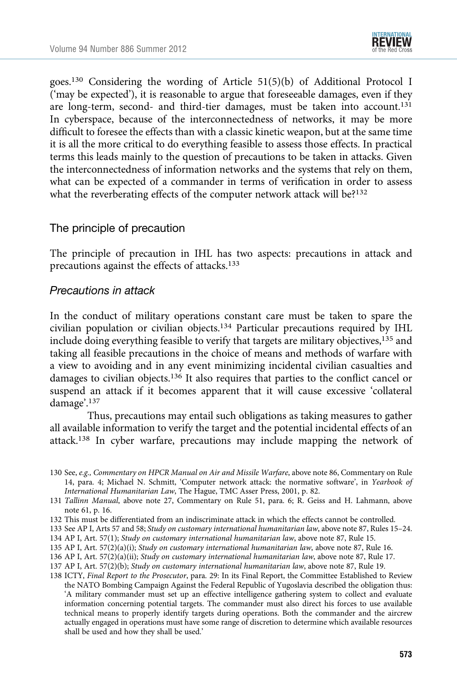

goes.130 Considering the wording of Article 51(5)(b) of Additional Protocol I ('may be expected'), it is reasonable to argue that foreseeable damages, even if they are long-term, second- and third-tier damages, must be taken into account.<sup>131</sup> In cyberspace, because of the interconnectedness of networks, it may be more difficult to foresee the effects than with a classic kinetic weapon, but at the same time it is all the more critical to do everything feasible to assess those effects. In practical terms this leads mainly to the question of precautions to be taken in attacks. Given the interconnectedness of information networks and the systems that rely on them, what can be expected of a commander in terms of verification in order to assess what the reverberating effects of the computer network attack will be?<sup>132</sup>

#### The principle of precaution

The principle of precaution in IHL has two aspects: precautions in attack and precautions against the effects of attacks.133

#### Precautions in attack

In the conduct of military operations constant care must be taken to spare the civilian population or civilian objects.134 Particular precautions required by IHL include doing everything feasible to verify that targets are military objectives,135 and taking all feasible precautions in the choice of means and methods of warfare with a view to avoiding and in any event minimizing incidental civilian casualties and damages to civilian objects.136 It also requires that parties to the conflict cancel or suspend an attack if it becomes apparent that it will cause excessive 'collateral damage'. 137

Thus, precautions may entail such obligations as taking measures to gather all available information to verify the target and the potential incidental effects of an attack.138 In cyber warfare, precautions may include mapping the network of

- 132 This must be differentiated from an indiscriminate attack in which the effects cannot be controlled.
- 133 See AP I, Arts 57 and 58; Study on customary international humanitarian law, above note 87, Rules 15–24.
- 134 AP I, Art. 57(1); Study on customary international humanitarian law, above note 87, Rule 15.
- 135 AP I, Art. 57(2)(a)(i); Study on customary international humanitarian law, above note 87, Rule 16.
- 136 AP I, Art. 57(2)(a)(ii); Study on customary international humanitarian law, above note 87, Rule 17.
- 137 AP I, Art. 57(2)(b); Study on customary international humanitarian law, above note 87, Rule 19.

<sup>130</sup> See, e.g., Commentary on HPCR Manual on Air and Missile Warfare, above note 86, Commentary on Rule 14, para. 4; Michael N. Schmitt, 'Computer network attack: the normative software', in Yearbook of International Humanitarian Law, The Hague, TMC Asser Press, 2001, p. 82.

<sup>131</sup> Tallinn Manual, above note 27, Commentary on Rule 51, para. 6; R. Geiss and H. Lahmann, above note 61, p. 16.

<sup>138</sup> ICTY, Final Report to the Prosecutor, para. 29: In its Final Report, the Committee Established to Review the NATO Bombing Campaign Against the Federal Republic of Yugoslavia described the obligation thus: 'A military commander must set up an effective intelligence gathering system to collect and evaluate information concerning potential targets. The commander must also direct his forces to use available technical means to properly identify targets during operations. Both the commander and the aircrew actually engaged in operations must have some range of discretion to determine which available resources shall be used and how they shall be used.'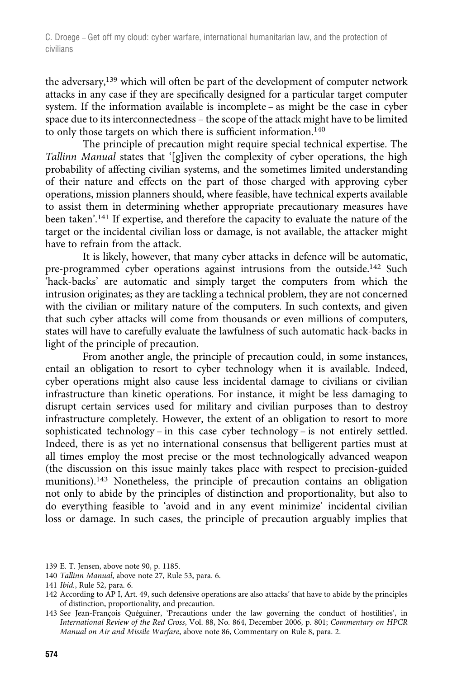the adversary,139 which will often be part of the development of computer network attacks in any case if they are specifically designed for a particular target computer system. If the information available is incomplete – as might be the case in cyber space due to its interconnectedness – the scope of the attack might have to be limited to only those targets on which there is sufficient information.<sup>140</sup>

The principle of precaution might require special technical expertise. The Tallinn Manual states that '[g]iven the complexity of cyber operations, the high probability of affecting civilian systems, and the sometimes limited understanding of their nature and effects on the part of those charged with approving cyber operations, mission planners should, where feasible, have technical experts available to assist them in determining whether appropriate precautionary measures have been taken'.<sup>141</sup> If expertise, and therefore the capacity to evaluate the nature of the target or the incidental civilian loss or damage, is not available, the attacker might have to refrain from the attack.

It is likely, however, that many cyber attacks in defence will be automatic, pre-programmed cyber operations against intrusions from the outside.<sup>142</sup> Such 'hack-backs' are automatic and simply target the computers from which the intrusion originates; as they are tackling a technical problem, they are not concerned with the civilian or military nature of the computers. In such contexts, and given that such cyber attacks will come from thousands or even millions of computers, states will have to carefully evaluate the lawfulness of such automatic hack-backs in light of the principle of precaution.

From another angle, the principle of precaution could, in some instances, entail an obligation to resort to cyber technology when it is available. Indeed, cyber operations might also cause less incidental damage to civilians or civilian infrastructure than kinetic operations. For instance, it might be less damaging to disrupt certain services used for military and civilian purposes than to destroy infrastructure completely. However, the extent of an obligation to resort to more sophisticated technology – in this case cyber technology – is not entirely settled. Indeed, there is as yet no international consensus that belligerent parties must at all times employ the most precise or the most technologically advanced weapon (the discussion on this issue mainly takes place with respect to precision-guided munitions).<sup>143</sup> Nonetheless, the principle of precaution contains an obligation not only to abide by the principles of distinction and proportionality, but also to do everything feasible to 'avoid and in any event minimize' incidental civilian loss or damage. In such cases, the principle of precaution arguably implies that

<sup>139</sup> E. T. Jensen, above note 90, p. 1185.

<sup>140</sup> Tallinn Manual, above note 27, Rule 53, para. 6.

<sup>141</sup> Ibid., Rule 52, para. 6.

<sup>142</sup> According to AP I, Art. 49, such defensive operations are also attacks' that have to abide by the principles of distinction, proportionality, and precaution.

<sup>143</sup> See Jean-François Quéguiner, 'Precautions under the law governing the conduct of hostilities', in International Review of the Red Cross, Vol. 88, No. 864, December 2006, p. 801; Commentary on HPCR Manual on Air and Missile Warfare, above note 86, Commentary on Rule 8, para. 2.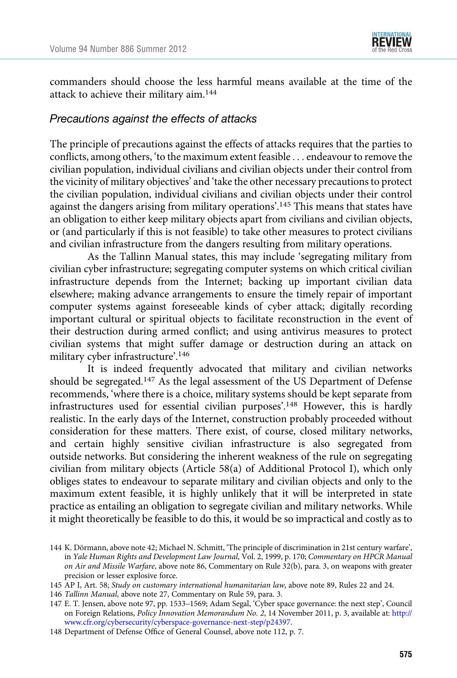

commanders should choose the less harmful means available at the time of the attack to achieve their military aim.<sup>144</sup>

#### Precautions against the effects of attacks

The principle of precautions against the effects of attacks requires that the parties to conflicts, among others, 'to the maximum extent feasible ... endeavour to remove the civilian population, individual civilians and civilian objects under their control from the vicinity of military objectives' and 'take the other necessary precautions to protect the civilian population, individual civilians and civilian objects under their control against the dangers arising from military operations'.<sup>145</sup> This means that states have an obligation to either keep military objects apart from civilians and civilian objects, or (and particularly if this is not feasible) to take other measures to protect civilians and civilian infrastructure from the dangers resulting from military operations.

As the Tallinn Manual states, this may include 'segregating military from civilian cyber infrastructure; segregating computer systems on which critical civilian infrastructure depends from the Internet; backing up important civilian data elsewhere; making advance arrangements to ensure the timely repair of important computer systems against foreseeable kinds of cyber attack; digitally recording important cultural or spiritual objects to facilitate reconstruction in the event of their destruction during armed conflict; and using antivirus measures to protect civilian systems that might suffer damage or destruction during an attack on military cyber infrastructure'. 146

It is indeed frequently advocated that military and civilian networks should be segregated.<sup>147</sup> As the legal assessment of the US Department of Defense recommends, 'where there is a choice, military systems should be kept separate from infrastructures used for essential civilian purposes'.<sup>148</sup> However, this is hardly realistic. In the early days of the Internet, construction probably proceeded without consideration for these matters. There exist, of course, closed military networks, and certain highly sensitive civilian infrastructure is also segregated from outside networks. But considering the inherent weakness of the rule on segregating civilian from military objects (Article 58(a) of Additional Protocol I), which only obliges states to endeavour to separate military and civilian objects and only to the maximum extent feasible, it is highly unlikely that it will be interpreted in state practice as entailing an obligation to segregate civilian and military networks. While it might theoretically be feasible to do this, it would be so impractical and costly as to

<sup>144</sup> K. Dörmann, above note 42; Michael N. Schmitt, 'The principle of discrimination in 21st century warfare', in Yale Human Rights and Development Law Journal, Vol. 2, 1999, p. 170; Commentary on HPCR Manual on Air and Missile Warfare, above note 86, Commentary on Rule 32(b), para. 3, on weapons with greater precision or lesser explosive force.

<sup>145</sup> AP I, Art. 58; Study on customary international humanitarian law, above note 89, Rules 22 and 24.

<sup>146</sup> Tallinn Manual, above note 27, Commentary on Rule 59, para. 3.

<sup>147</sup> E. T. Jensen, above note 97, pp. 1533–1569; Adam Segal, 'Cyber space governance: the next step', Council on Foreign Relations, Policy Innovation Memorandum No. 2, 14 November 2011, p. 3, available at: [http://](http://www.cfr.org/cybersecurity/cyberspace-governance-next-step/p24397) [www.cfr.org/cybersecurity/cyberspace-governance-next-step/p24397.](http://www.cfr.org/cybersecurity/cyberspace-governance-next-step/p24397)

<sup>148</sup> Department of Defense Office of General Counsel, above note 112, p. 7.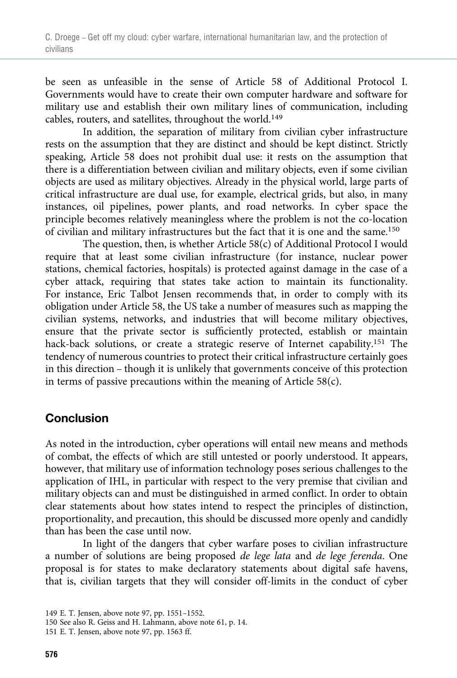be seen as unfeasible in the sense of Article 58 of Additional Protocol I. Governments would have to create their own computer hardware and software for military use and establish their own military lines of communication, including cables, routers, and satellites, throughout the world.149

In addition, the separation of military from civilian cyber infrastructure rests on the assumption that they are distinct and should be kept distinct. Strictly speaking, Article 58 does not prohibit dual use: it rests on the assumption that there is a differentiation between civilian and military objects, even if some civilian objects are used as military objectives. Already in the physical world, large parts of critical infrastructure are dual use, for example, electrical grids, but also, in many instances, oil pipelines, power plants, and road networks. In cyber space the principle becomes relatively meaningless where the problem is not the co-location of civilian and military infrastructures but the fact that it is one and the same.150

The question, then, is whether Article 58(c) of Additional Protocol I would require that at least some civilian infrastructure (for instance, nuclear power stations, chemical factories, hospitals) is protected against damage in the case of a cyber attack, requiring that states take action to maintain its functionality. For instance, Eric Talbot Jensen recommends that, in order to comply with its obligation under Article 58, the US take a number of measures such as mapping the civilian systems, networks, and industries that will become military objectives, ensure that the private sector is sufficiently protected, establish or maintain hack-back solutions, or create a strategic reserve of Internet capability.151 The tendency of numerous countries to protect their critical infrastructure certainly goes in this direction – though it is unlikely that governments conceive of this protection in terms of passive precautions within the meaning of Article 58(c).

## **Conclusion**

As noted in the introduction, cyber operations will entail new means and methods of combat, the effects of which are still untested or poorly understood. It appears, however, that military use of information technology poses serious challenges to the application of IHL, in particular with respect to the very premise that civilian and military objects can and must be distinguished in armed conflict. In order to obtain clear statements about how states intend to respect the principles of distinction, proportionality, and precaution, this should be discussed more openly and candidly than has been the case until now.

In light of the dangers that cyber warfare poses to civilian infrastructure a number of solutions are being proposed de lege lata and de lege ferenda. One proposal is for states to make declaratory statements about digital safe havens, that is, civilian targets that they will consider off-limits in the conduct of cyber

149 E. T. Jensen, above note 97, pp. 1551–1552.

<sup>150</sup> See also R. Geiss and H. Lahmann, above note 61, p. 14.

<sup>151</sup> E. T. Jensen, above note 97, pp. 1563 ff.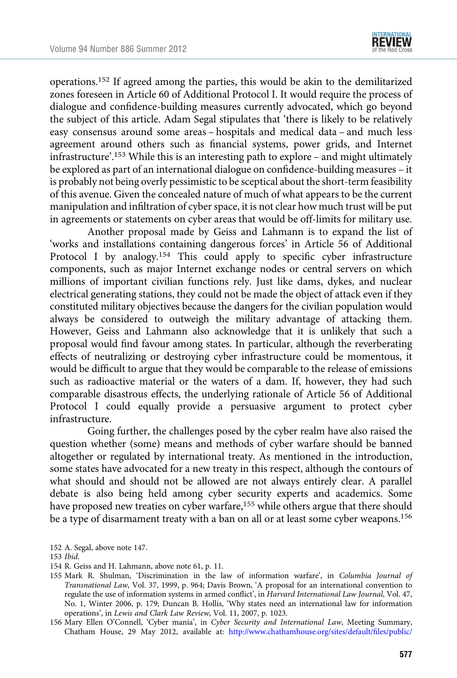operations.152 If agreed among the parties, this would be akin to the demilitarized zones foreseen in Article 60 of Additional Protocol I. It would require the process of dialogue and confidence-building measures currently advocated, which go beyond the subject of this article. Adam Segal stipulates that 'there is likely to be relatively easy consensus around some areas – hospitals and medical data – and much less agreement around others such as financial systems, power grids, and Internet infrastructure'. <sup>153</sup> While this is an interesting path to explore – and might ultimately be explored as part of an international dialogue on confidence-building measures – it is probably not being overly pessimistic to be sceptical about the short-term feasibility of this avenue. Given the concealed nature of much of what appears to be the current manipulation and infiltration of cyber space, it is not clear how much trust will be put in agreements or statements on cyber areas that would be off-limits for military use.

Another proposal made by Geiss and Lahmann is to expand the list of 'works and installations containing dangerous forces' in Article 56 of Additional Protocol I by analogy.<sup>154</sup> This could apply to specific cyber infrastructure components, such as major Internet exchange nodes or central servers on which millions of important civilian functions rely. Just like dams, dykes, and nuclear electrical generating stations, they could not be made the object of attack even if they constituted military objectives because the dangers for the civilian population would always be considered to outweigh the military advantage of attacking them. However, Geiss and Lahmann also acknowledge that it is unlikely that such a proposal would find favour among states. In particular, although the reverberating effects of neutralizing or destroying cyber infrastructure could be momentous, it would be difficult to argue that they would be comparable to the release of emissions such as radioactive material or the waters of a dam. If, however, they had such comparable disastrous effects, the underlying rationale of Article 56 of Additional Protocol I could equally provide a persuasive argument to protect cyber infrastructure.

Going further, the challenges posed by the cyber realm have also raised the question whether (some) means and methods of cyber warfare should be banned altogether or regulated by international treaty. As mentioned in the introduction, some states have advocated for a new treaty in this respect, although the contours of what should and should not be allowed are not always entirely clear. A parallel debate is also being held among cyber security experts and academics. Some have proposed new treaties on cyber warfare,<sup>155</sup> while others argue that there should be a type of disarmament treaty with a ban on all or at least some cyber weapons.<sup>156</sup>

152 A. Segal, above note 147.

<sup>153</sup> Ibid.

<sup>154</sup> R. Geiss and H. Lahmann, above note 61, p. 11.

<sup>155</sup> Mark R. Shulman, 'Discrimination in the law of information warfare', in Columbia Journal of Transnational Law, Vol. 37, 1999, p. 964; Davis Brown, 'A proposal for an international convention to regulate the use of information systems in armed conflict', in Harvard International Law Journal, Vol. 47, No. 1, Winter 2006, p. 179; Duncan B. Hollis, 'Why states need an international law for information operations', in Lewis and Clark Law Review, Vol. 11, 2007, p. 1023.

<sup>156</sup> Mary Ellen O'Connell, 'Cyber mania', in Cyber Security and International Law, Meeting Summary, Chatham House, 29 May 2012, available at: [http://www.chathamhouse.org/sites/default/](http://www.chathamhouse.org/sites/default/files/public/Research/International%20Law/290512summary.pdf;)files/public/